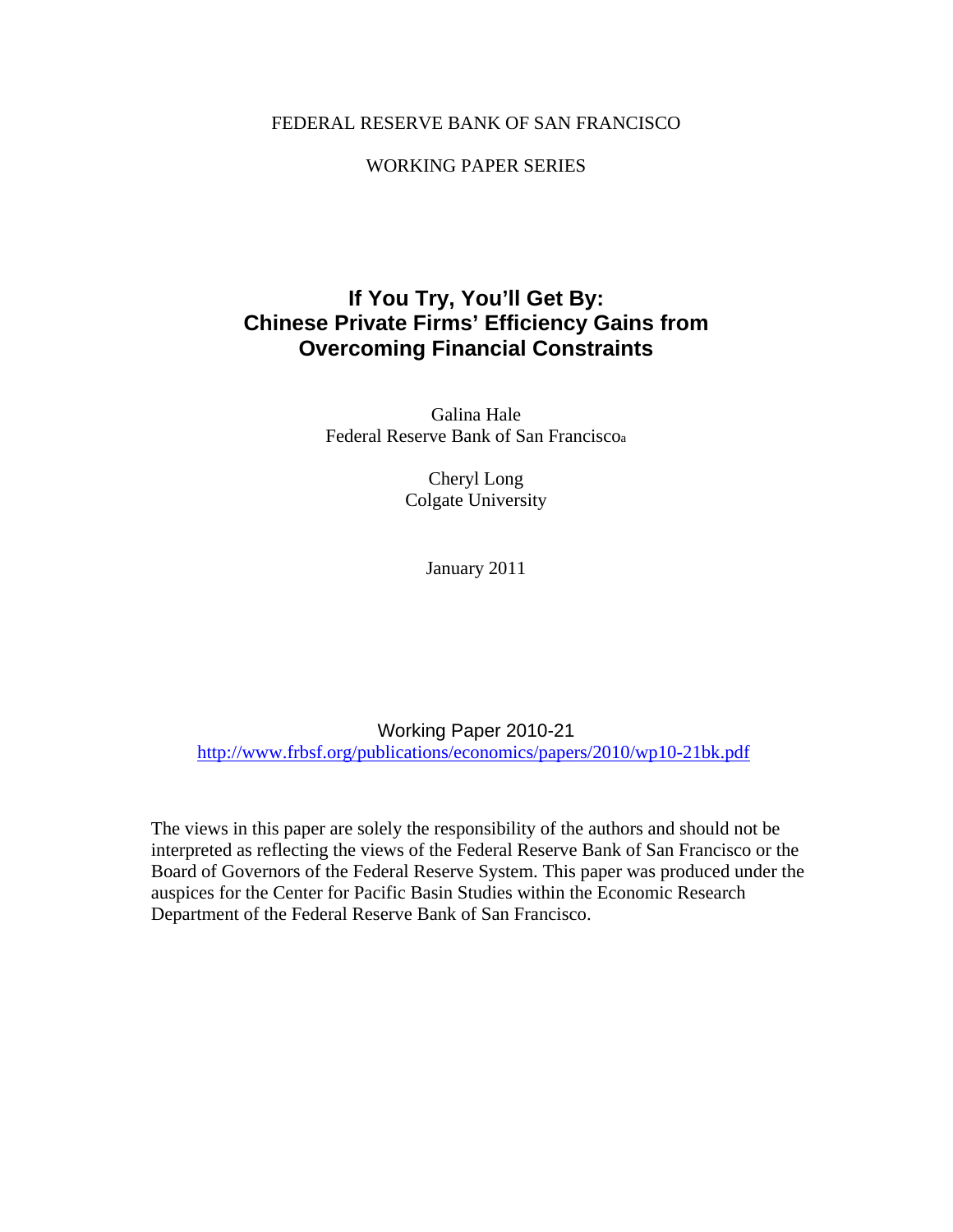### FEDERAL RESERVE BANK OF SAN FRANCISCO

### WORKING PAPER SERIES

# **If You Try, You'll Get By: Chinese Private Firms' Efficiency Gains from Overcoming Financial Constraints**

Galina Hale Federal Reserve Bank of San Franciscoa

> Cheryl Long Colgate University

> > January 2011

Working Paper 2010-21 http://www.frbsf.org/publications/economics/papers/2010/wp10-21bk.pdf

The views in this paper are solely the responsibility of the authors and should not be interpreted as reflecting the views of the Federal Reserve Bank of San Francisco or the Board of Governors of the Federal Reserve System. This paper was produced under the auspices for the Center for Pacific Basin Studies within the Economic Research Department of the Federal Reserve Bank of San Francisco.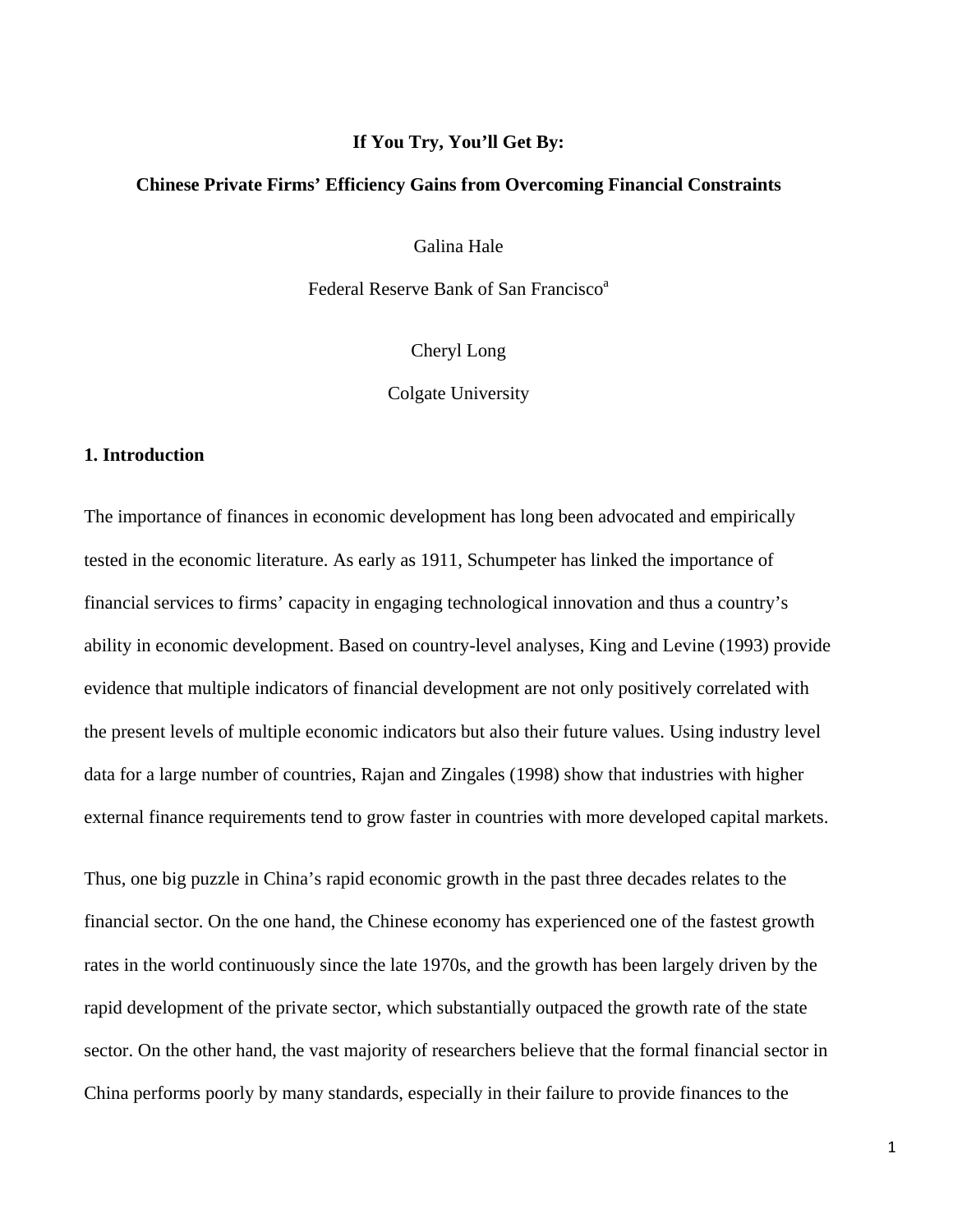### **If You Try, You'll Get By:**

#### **Chinese Private Firms' Efficiency Gains from Overcoming Financial Constraints**

Galina Hale

Federal Reserve Bank of San Francisco<sup>a</sup>

Cheryl Long

Colgate University

#### **1. Introduction**

The importance of finances in economic development has long been advocated and empirically tested in the economic literature. As early as 1911, Schumpeter has linked the importance of financial services to firms' capacity in engaging technological innovation and thus a country's ability in economic development. Based on country-level analyses, King and Levine (1993) provide evidence that multiple indicators of financial development are not only positively correlated with the present levels of multiple economic indicators but also their future values. Using industry level data for a large number of countries, Rajan and Zingales (1998) show that industries with higher external finance requirements tend to grow faster in countries with more developed capital markets.

Thus, one big puzzle in China's rapid economic growth in the past three decades relates to the financial sector. On the one hand, the Chinese economy has experienced one of the fastest growth rates in the world continuously since the late 1970s, and the growth has been largely driven by the rapid development of the private sector, which substantially outpaced the growth rate of the state sector. On the other hand, the vast majority of researchers believe that the formal financial sector in China performs poorly by many standards, especially in their failure to provide finances to the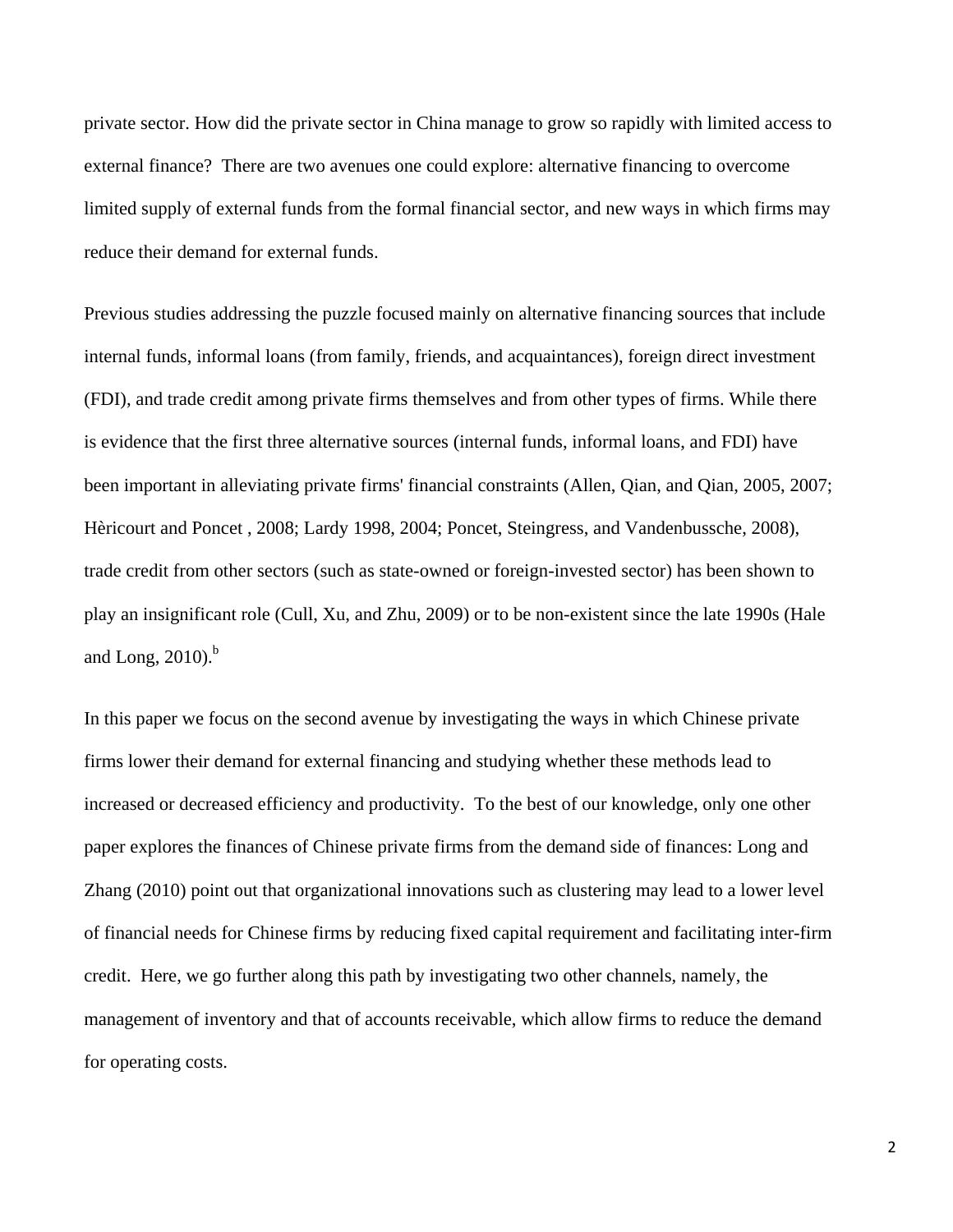private sector. How did the private sector in China manage to grow so rapidly with limited access to external finance? There are two avenues one could explore: alternative financing to overcome limited supply of external funds from the formal financial sector, and new ways in which firms may reduce their demand for external funds.

Previous studies addressing the puzzle focused mainly on alternative financing sources that include internal funds, informal loans (from family, friends, and acquaintances), foreign direct investment (FDI), and trade credit among private firms themselves and from other types of firms. While there is evidence that the first three alternative sources (internal funds, informal loans, and FDI) have been important in alleviating private firms' financial constraints (Allen, Qian, and Qian, 2005, 2007; Hèricourt and Poncet , 2008; Lardy 1998, 2004; Poncet, Steingress, and Vandenbussche, 2008), trade credit from other sectors (such as state-owned or foreign-invested sector) has been shown to play an insignificant role (Cull, Xu, and Zhu, 2009) or to be non-existent since the late 1990s (Hale and Long,  $2010$ <sup>b</sup>

In this paper we focus on the second avenue by investigating the ways in which Chinese private firms lower their demand for external financing and studying whether these methods lead to increased or decreased efficiency and productivity. To the best of our knowledge, only one other paper explores the finances of Chinese private firms from the demand side of finances: Long and Zhang (2010) point out that organizational innovations such as clustering may lead to a lower level of financial needs for Chinese firms by reducing fixed capital requirement and facilitating inter-firm credit. Here, we go further along this path by investigating two other channels, namely, the management of inventory and that of accounts receivable, which allow firms to reduce the demand for operating costs.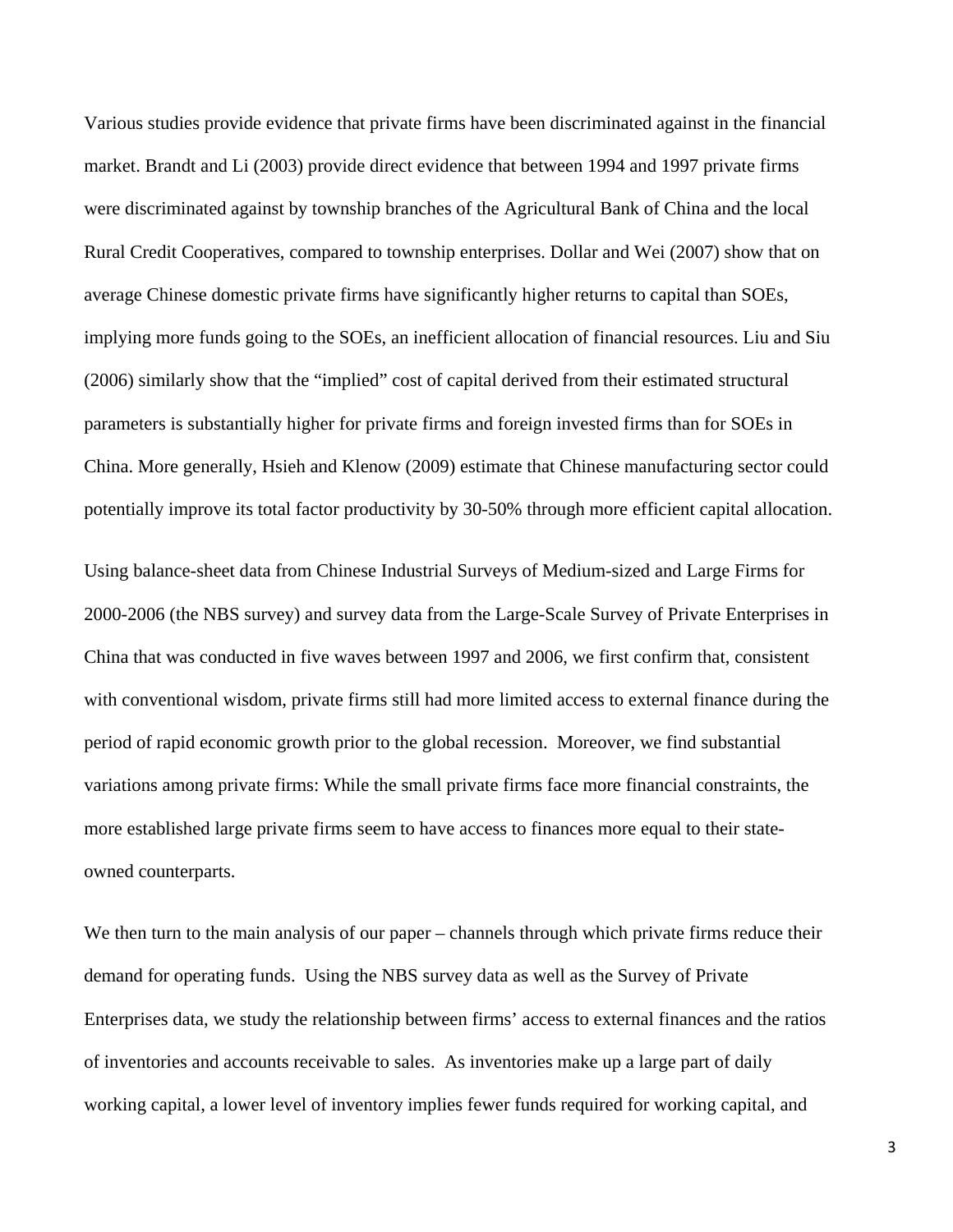Various studies provide evidence that private firms have been discriminated against in the financial market. Brandt and Li (2003) provide direct evidence that between 1994 and 1997 private firms were discriminated against by township branches of the Agricultural Bank of China and the local Rural Credit Cooperatives, compared to township enterprises. Dollar and Wei (2007) show that on average Chinese domestic private firms have significantly higher returns to capital than SOEs, implying more funds going to the SOEs, an inefficient allocation of financial resources. Liu and Siu (2006) similarly show that the "implied" cost of capital derived from their estimated structural parameters is substantially higher for private firms and foreign invested firms than for SOEs in China. More generally, Hsieh and Klenow (2009) estimate that Chinese manufacturing sector could potentially improve its total factor productivity by 30-50% through more efficient capital allocation.

Using balance-sheet data from Chinese Industrial Surveys of Medium-sized and Large Firms for 2000-2006 (the NBS survey) and survey data from the Large-Scale Survey of Private Enterprises in China that was conducted in five waves between 1997 and 2006, we first confirm that, consistent with conventional wisdom, private firms still had more limited access to external finance during the period of rapid economic growth prior to the global recession. Moreover, we find substantial variations among private firms: While the small private firms face more financial constraints, the more established large private firms seem to have access to finances more equal to their stateowned counterparts.

We then turn to the main analysis of our paper – channels through which private firms reduce their demand for operating funds. Using the NBS survey data as well as the Survey of Private Enterprises data, we study the relationship between firms' access to external finances and the ratios of inventories and accounts receivable to sales. As inventories make up a large part of daily working capital, a lower level of inventory implies fewer funds required for working capital, and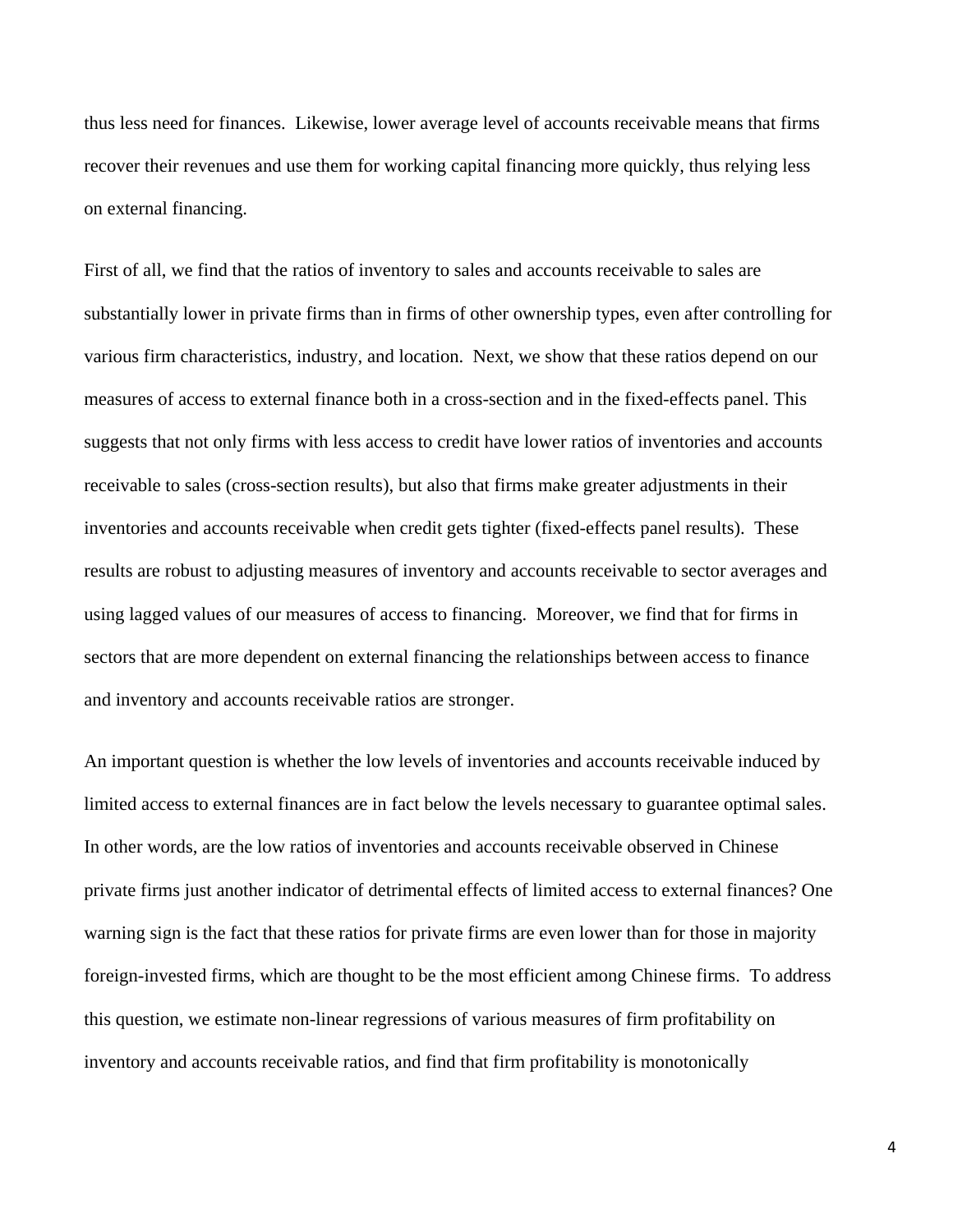thus less need for finances. Likewise, lower average level of accounts receivable means that firms recover their revenues and use them for working capital financing more quickly, thus relying less on external financing.

First of all, we find that the ratios of inventory to sales and accounts receivable to sales are substantially lower in private firms than in firms of other ownership types, even after controlling for various firm characteristics, industry, and location. Next, we show that these ratios depend on our measures of access to external finance both in a cross-section and in the fixed-effects panel. This suggests that not only firms with less access to credit have lower ratios of inventories and accounts receivable to sales (cross-section results), but also that firms make greater adjustments in their inventories and accounts receivable when credit gets tighter (fixed-effects panel results). These results are robust to adjusting measures of inventory and accounts receivable to sector averages and using lagged values of our measures of access to financing. Moreover, we find that for firms in sectors that are more dependent on external financing the relationships between access to finance and inventory and accounts receivable ratios are stronger.

An important question is whether the low levels of inventories and accounts receivable induced by limited access to external finances are in fact below the levels necessary to guarantee optimal sales. In other words, are the low ratios of inventories and accounts receivable observed in Chinese private firms just another indicator of detrimental effects of limited access to external finances? One warning sign is the fact that these ratios for private firms are even lower than for those in majority foreign-invested firms, which are thought to be the most efficient among Chinese firms. To address this question, we estimate non-linear regressions of various measures of firm profitability on inventory and accounts receivable ratios, and find that firm profitability is monotonically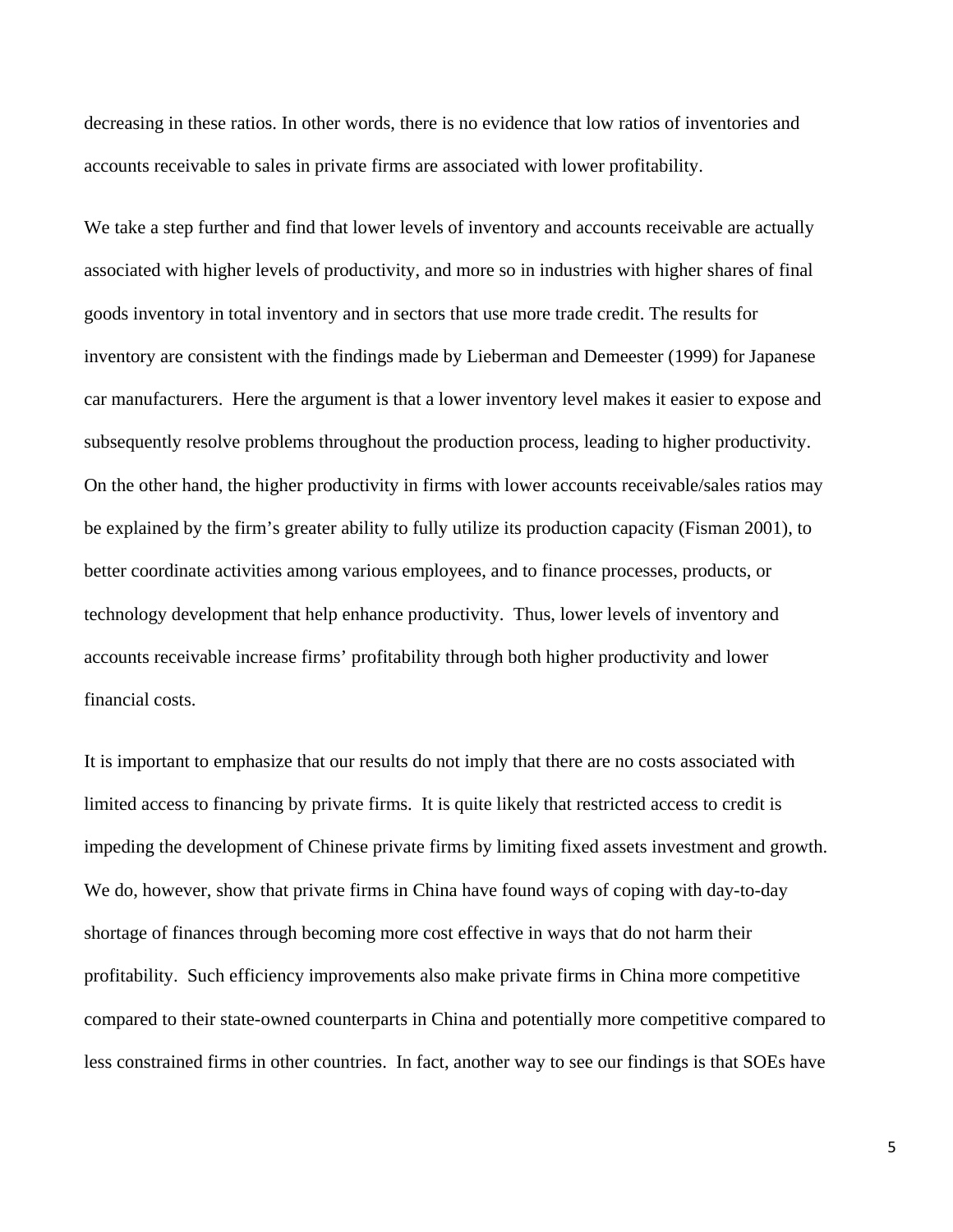decreasing in these ratios. In other words, there is no evidence that low ratios of inventories and accounts receivable to sales in private firms are associated with lower profitability.

We take a step further and find that lower levels of inventory and accounts receivable are actually associated with higher levels of productivity, and more so in industries with higher shares of final goods inventory in total inventory and in sectors that use more trade credit. The results for inventory are consistent with the findings made by Lieberman and Demeester (1999) for Japanese car manufacturers. Here the argument is that a lower inventory level makes it easier to expose and subsequently resolve problems throughout the production process, leading to higher productivity. On the other hand, the higher productivity in firms with lower accounts receivable/sales ratios may be explained by the firm's greater ability to fully utilize its production capacity (Fisman 2001), to better coordinate activities among various employees, and to finance processes, products, or technology development that help enhance productivity. Thus, lower levels of inventory and accounts receivable increase firms' profitability through both higher productivity and lower financial costs.

It is important to emphasize that our results do not imply that there are no costs associated with limited access to financing by private firms. It is quite likely that restricted access to credit is impeding the development of Chinese private firms by limiting fixed assets investment and growth. We do, however, show that private firms in China have found ways of coping with day-to-day shortage of finances through becoming more cost effective in ways that do not harm their profitability. Such efficiency improvements also make private firms in China more competitive compared to their state-owned counterparts in China and potentially more competitive compared to less constrained firms in other countries. In fact, another way to see our findings is that SOEs have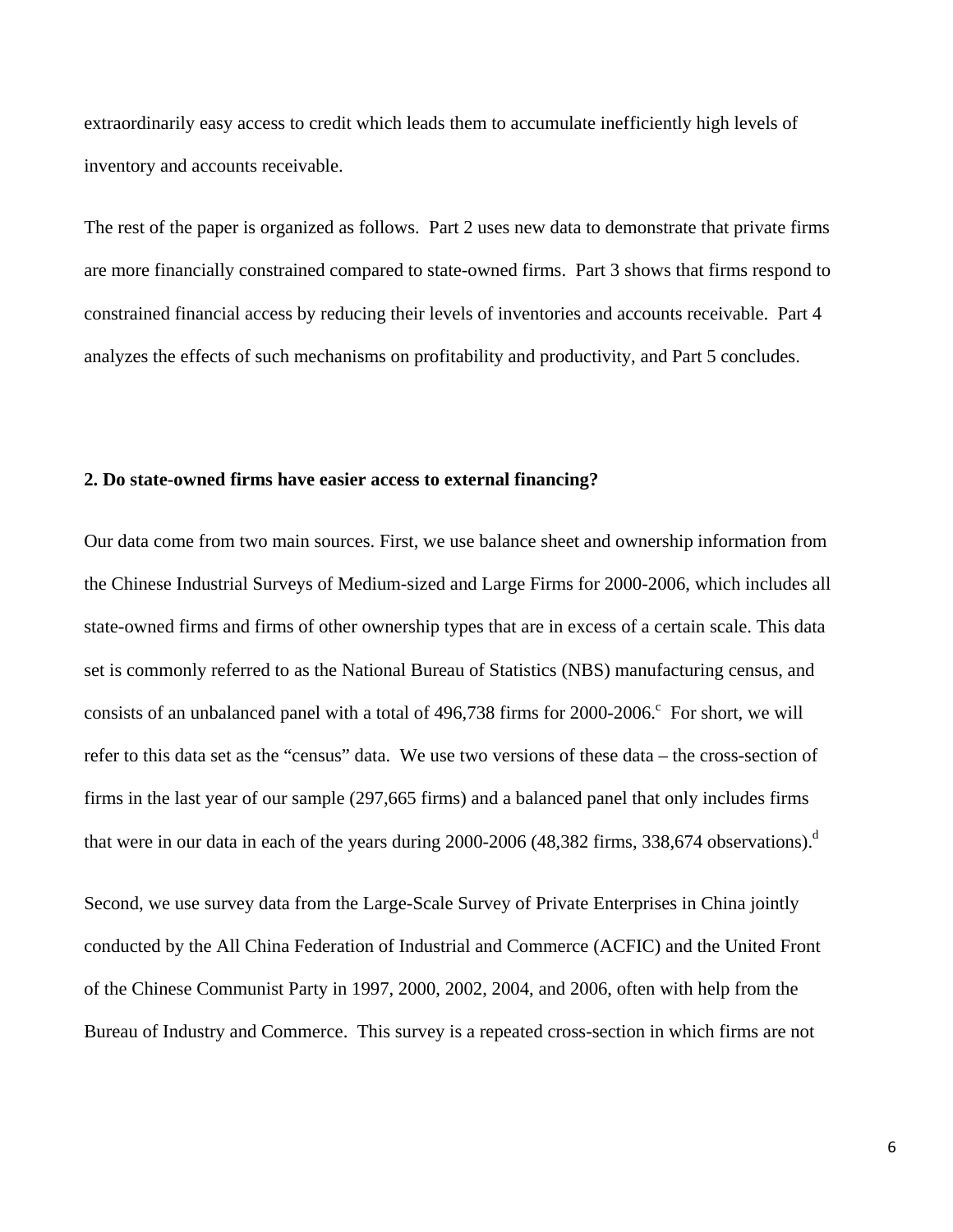extraordinarily easy access to credit which leads them to accumulate inefficiently high levels of inventory and accounts receivable.

The rest of the paper is organized as follows. Part 2 uses new data to demonstrate that private firms are more financially constrained compared to state-owned firms. Part 3 shows that firms respond to constrained financial access by reducing their levels of inventories and accounts receivable. Part 4 analyzes the effects of such mechanisms on profitability and productivity, and Part 5 concludes.

### **2. Do state-owned firms have easier access to external financing?**

Our data come from two main sources. First, we use balance sheet and ownership information from the Chinese Industrial Surveys of Medium-sized and Large Firms for 2000-2006, which includes all state-owned firms and firms of other ownership types that are in excess of a certain scale. This data set is commonly referred to as the National Bureau of Statistics (NBS) manufacturing census, and consists of an unbalanced panel with a total of  $496,738$  firms for  $2000-2006$ . For short, we will refer to this data set as the "census" data. We use two versions of these data – the cross-section of firms in the last year of our sample (297,665 firms) and a balanced panel that only includes firms that were in our data in each of the years during 2000-2006 (48,382 firms, 338,674 observations).<sup>d</sup>

Second, we use survey data from the Large-Scale Survey of Private Enterprises in China jointly conducted by the All China Federation of Industrial and Commerce (ACFIC) and the United Front of the Chinese Communist Party in 1997, 2000, 2002, 2004, and 2006, often with help from the Bureau of Industry and Commerce. This survey is a repeated cross-section in which firms are not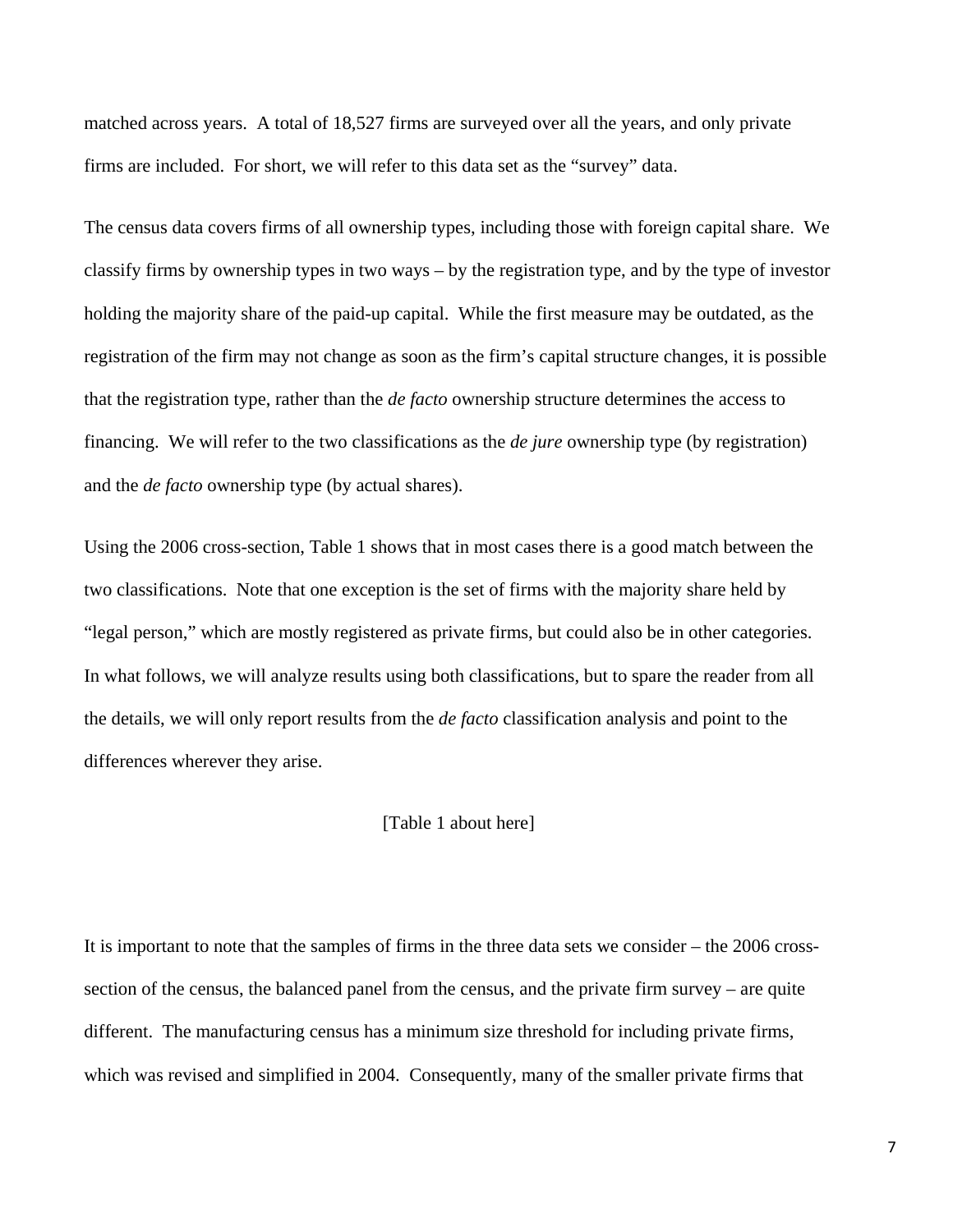matched across years. A total of 18,527 firms are surveyed over all the years, and only private firms are included. For short, we will refer to this data set as the "survey" data.

The census data covers firms of all ownership types, including those with foreign capital share. We classify firms by ownership types in two ways – by the registration type, and by the type of investor holding the majority share of the paid-up capital. While the first measure may be outdated, as the registration of the firm may not change as soon as the firm's capital structure changes, it is possible that the registration type, rather than the *de facto* ownership structure determines the access to financing. We will refer to the two classifications as the *de jure* ownership type (by registration) and the *de facto* ownership type (by actual shares).

Using the 2006 cross-section, Table 1 shows that in most cases there is a good match between the two classifications. Note that one exception is the set of firms with the majority share held by "legal person," which are mostly registered as private firms, but could also be in other categories. In what follows, we will analyze results using both classifications, but to spare the reader from all the details, we will only report results from the *de facto* classification analysis and point to the differences wherever they arise.

### [Table 1 about here]

It is important to note that the samples of firms in the three data sets we consider – the 2006 crosssection of the census, the balanced panel from the census, and the private firm survey – are quite different. The manufacturing census has a minimum size threshold for including private firms, which was revised and simplified in 2004. Consequently, many of the smaller private firms that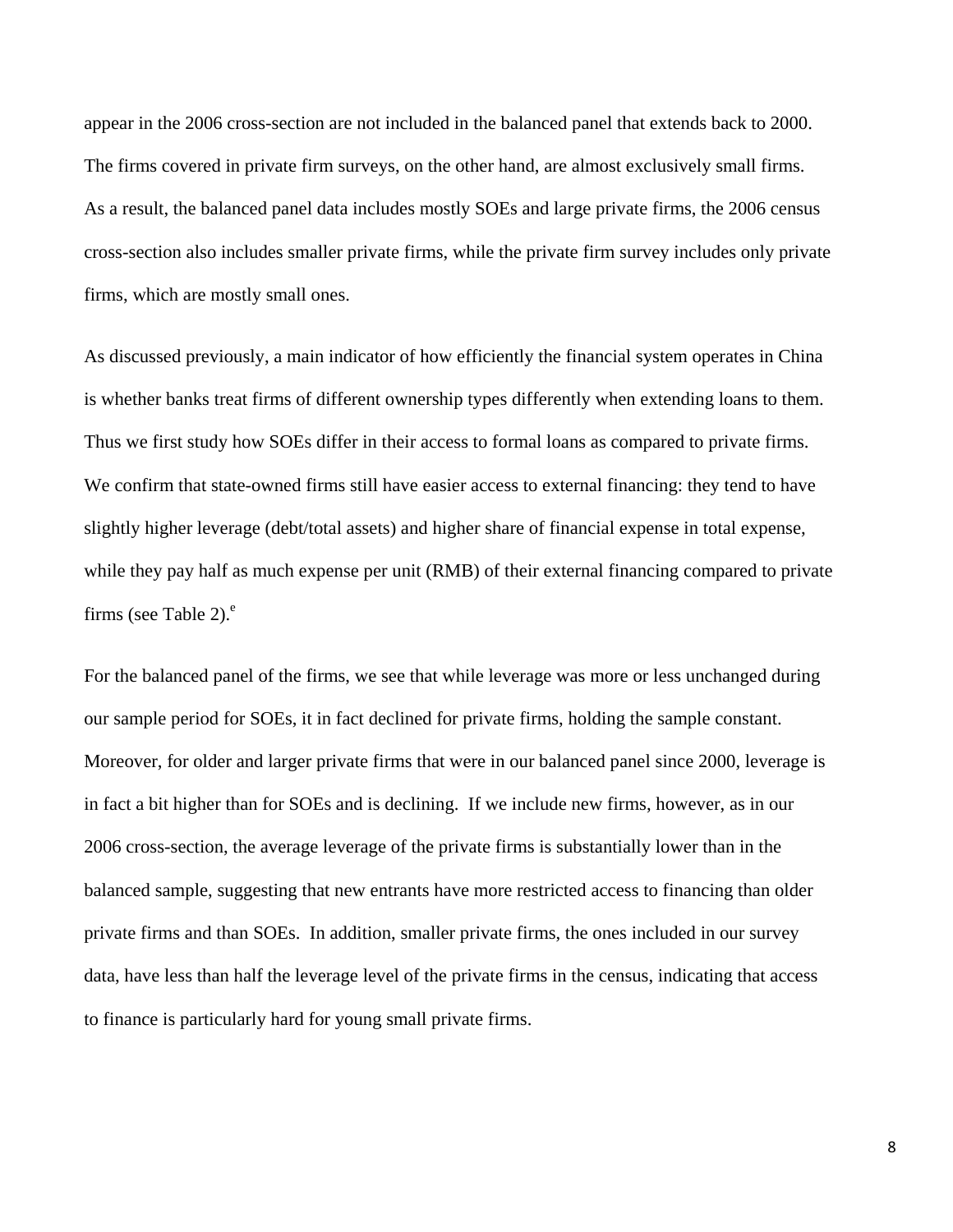appear in the 2006 cross-section are not included in the balanced panel that extends back to 2000. The firms covered in private firm surveys, on the other hand, are almost exclusively small firms. As a result, the balanced panel data includes mostly SOEs and large private firms, the 2006 census cross-section also includes smaller private firms, while the private firm survey includes only private firms, which are mostly small ones.

As discussed previously, a main indicator of how efficiently the financial system operates in China is whether banks treat firms of different ownership types differently when extending loans to them. Thus we first study how SOEs differ in their access to formal loans as compared to private firms. We confirm that state-owned firms still have easier access to external financing: they tend to have slightly higher leverage (debt/total assets) and higher share of financial expense in total expense, while they pay half as much expense per unit (RMB) of their external financing compared to private firms (see Table 2). $^e$ 

For the balanced panel of the firms, we see that while leverage was more or less unchanged during our sample period for SOEs, it in fact declined for private firms, holding the sample constant. Moreover, for older and larger private firms that were in our balanced panel since 2000, leverage is in fact a bit higher than for SOEs and is declining. If we include new firms, however, as in our 2006 cross-section, the average leverage of the private firms is substantially lower than in the balanced sample, suggesting that new entrants have more restricted access to financing than older private firms and than SOEs. In addition, smaller private firms, the ones included in our survey data, have less than half the leverage level of the private firms in the census, indicating that access to finance is particularly hard for young small private firms.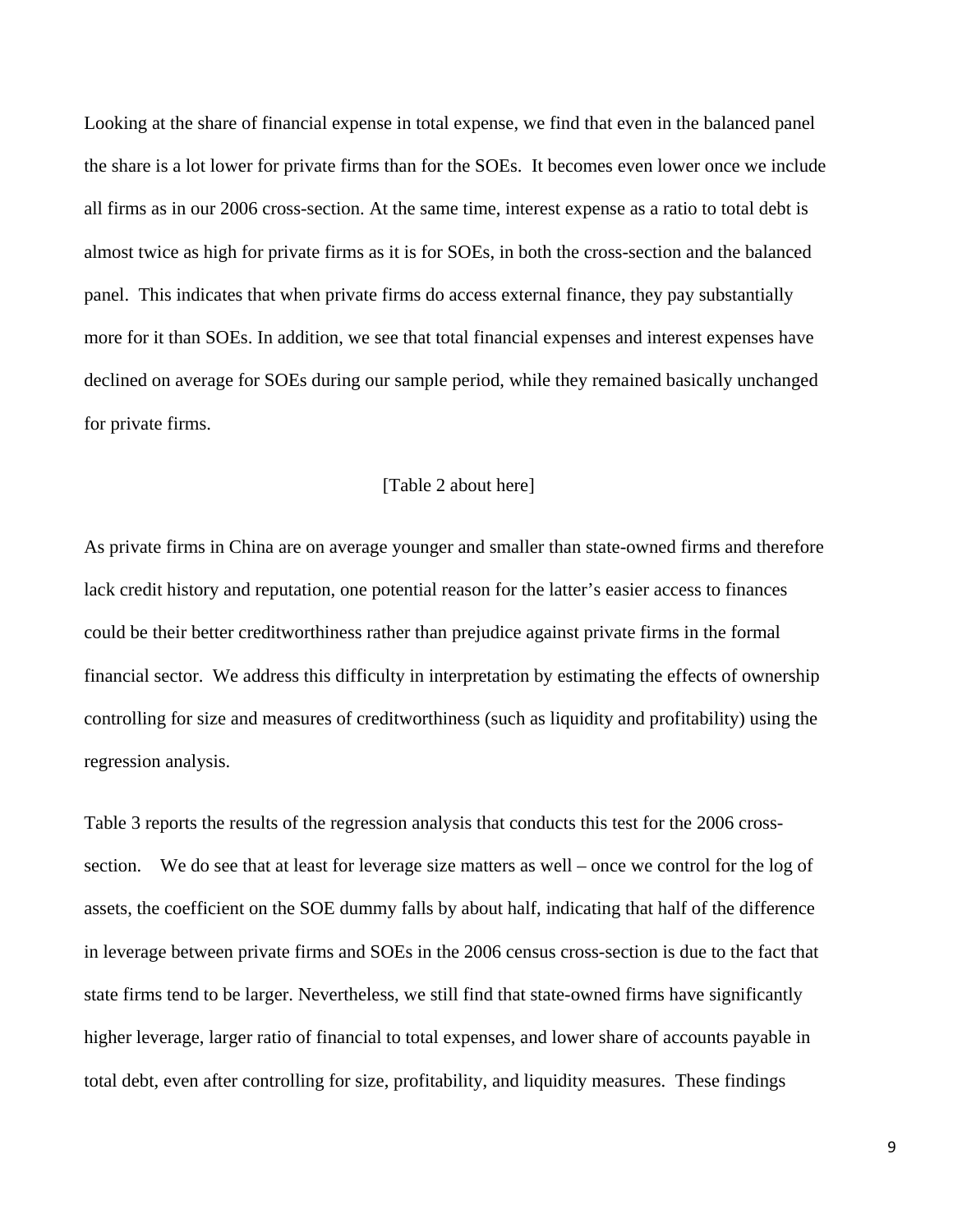Looking at the share of financial expense in total expense, we find that even in the balanced panel the share is a lot lower for private firms than for the SOEs. It becomes even lower once we include all firms as in our 2006 cross-section. At the same time, interest expense as a ratio to total debt is almost twice as high for private firms as it is for SOEs, in both the cross-section and the balanced panel. This indicates that when private firms do access external finance, they pay substantially more for it than SOEs. In addition, we see that total financial expenses and interest expenses have declined on average for SOEs during our sample period, while they remained basically unchanged for private firms.

#### [Table 2 about here]

As private firms in China are on average younger and smaller than state-owned firms and therefore lack credit history and reputation, one potential reason for the latter's easier access to finances could be their better creditworthiness rather than prejudice against private firms in the formal financial sector. We address this difficulty in interpretation by estimating the effects of ownership controlling for size and measures of creditworthiness (such as liquidity and profitability) using the regression analysis.

Table 3 reports the results of the regression analysis that conducts this test for the 2006 crosssection. We do see that at least for leverage size matters as well – once we control for the log of assets, the coefficient on the SOE dummy falls by about half, indicating that half of the difference in leverage between private firms and SOEs in the 2006 census cross-section is due to the fact that state firms tend to be larger. Nevertheless, we still find that state-owned firms have significantly higher leverage, larger ratio of financial to total expenses, and lower share of accounts payable in total debt, even after controlling for size, profitability, and liquidity measures. These findings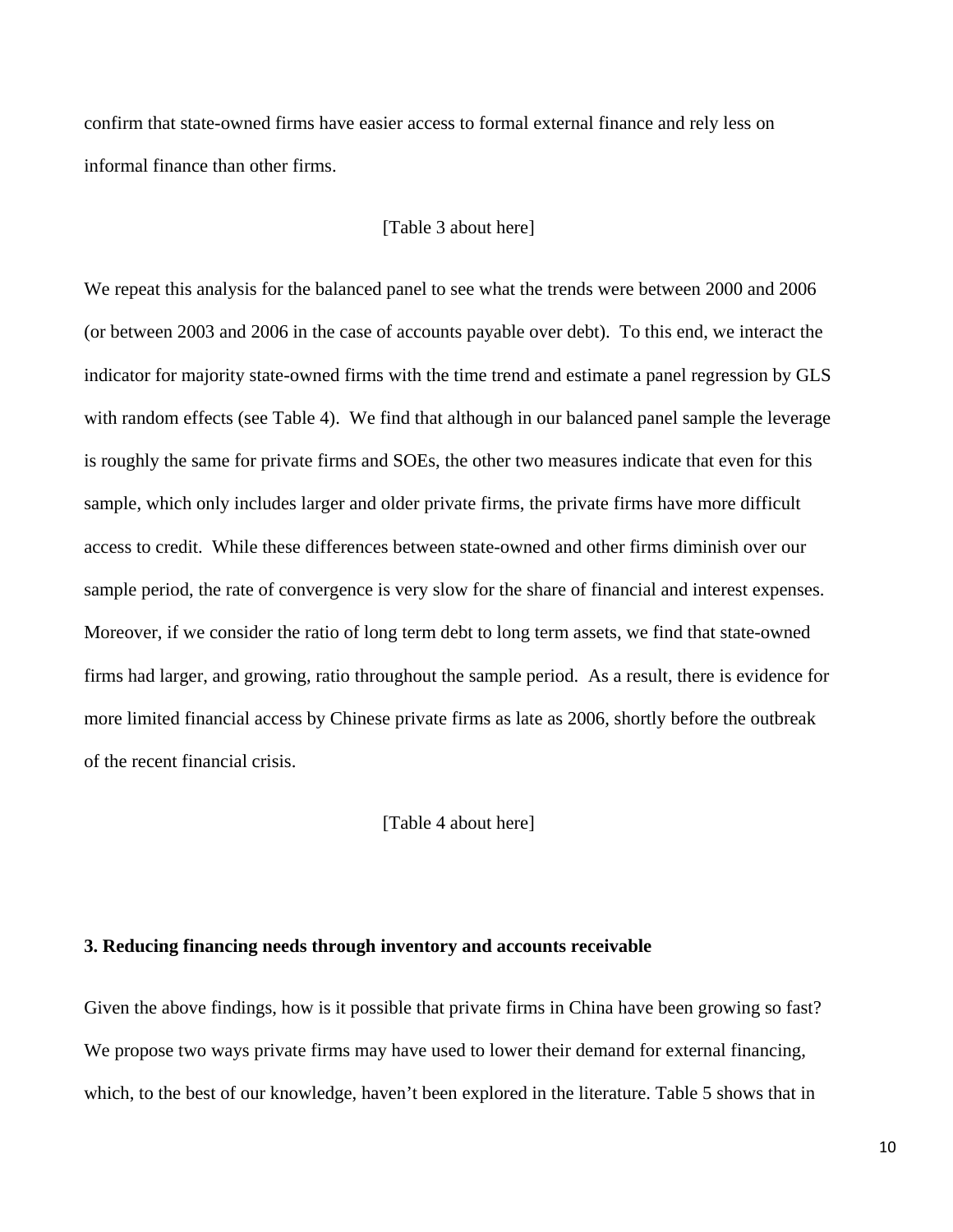confirm that state-owned firms have easier access to formal external finance and rely less on informal finance than other firms.

### [Table 3 about here]

We repeat this analysis for the balanced panel to see what the trends were between 2000 and 2006 (or between 2003 and 2006 in the case of accounts payable over debt). To this end, we interact the indicator for majority state-owned firms with the time trend and estimate a panel regression by GLS with random effects (see Table 4). We find that although in our balanced panel sample the leverage is roughly the same for private firms and SOEs, the other two measures indicate that even for this sample, which only includes larger and older private firms, the private firms have more difficult access to credit. While these differences between state-owned and other firms diminish over our sample period, the rate of convergence is very slow for the share of financial and interest expenses. Moreover, if we consider the ratio of long term debt to long term assets, we find that state-owned firms had larger, and growing, ratio throughout the sample period. As a result, there is evidence for more limited financial access by Chinese private firms as late as 2006, shortly before the outbreak of the recent financial crisis.

[Table 4 about here]

### **3. Reducing financing needs through inventory and accounts receivable**

Given the above findings, how is it possible that private firms in China have been growing so fast? We propose two ways private firms may have used to lower their demand for external financing, which, to the best of our knowledge, haven't been explored in the literature. Table 5 shows that in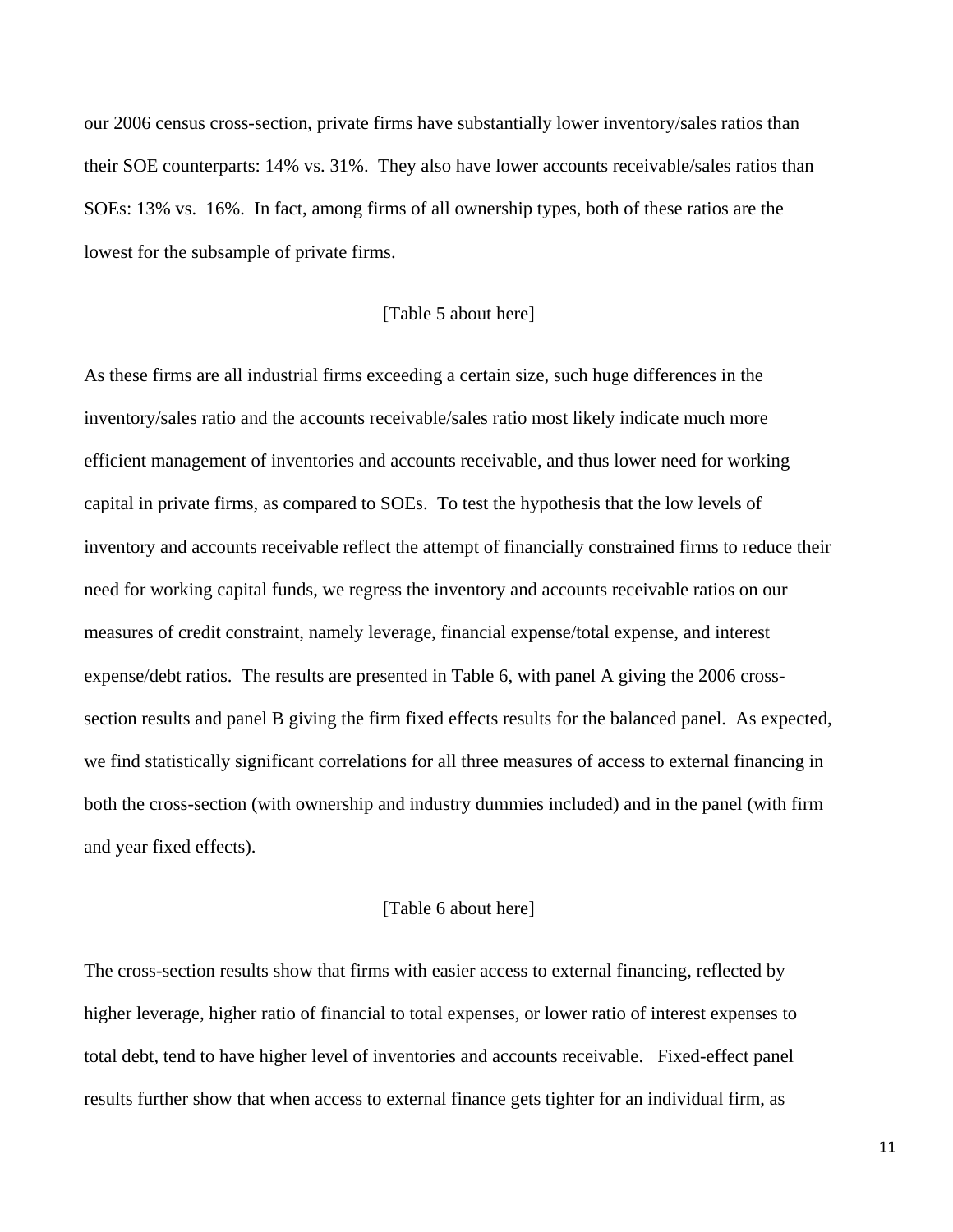our 2006 census cross-section, private firms have substantially lower inventory/sales ratios than their SOE counterparts: 14% vs. 31%. They also have lower accounts receivable/sales ratios than SOEs: 13% vs. 16%. In fact, among firms of all ownership types, both of these ratios are the lowest for the subsample of private firms.

### [Table 5 about here]

As these firms are all industrial firms exceeding a certain size, such huge differences in the inventory/sales ratio and the accounts receivable/sales ratio most likely indicate much more efficient management of inventories and accounts receivable, and thus lower need for working capital in private firms, as compared to SOEs. To test the hypothesis that the low levels of inventory and accounts receivable reflect the attempt of financially constrained firms to reduce their need for working capital funds, we regress the inventory and accounts receivable ratios on our measures of credit constraint, namely leverage, financial expense/total expense, and interest expense/debt ratios. The results are presented in Table 6, with panel A giving the 2006 crosssection results and panel B giving the firm fixed effects results for the balanced panel. As expected, we find statistically significant correlations for all three measures of access to external financing in both the cross-section (with ownership and industry dummies included) and in the panel (with firm and year fixed effects).

### [Table 6 about here]

The cross-section results show that firms with easier access to external financing, reflected by higher leverage, higher ratio of financial to total expenses, or lower ratio of interest expenses to total debt, tend to have higher level of inventories and accounts receivable. Fixed-effect panel results further show that when access to external finance gets tighter for an individual firm, as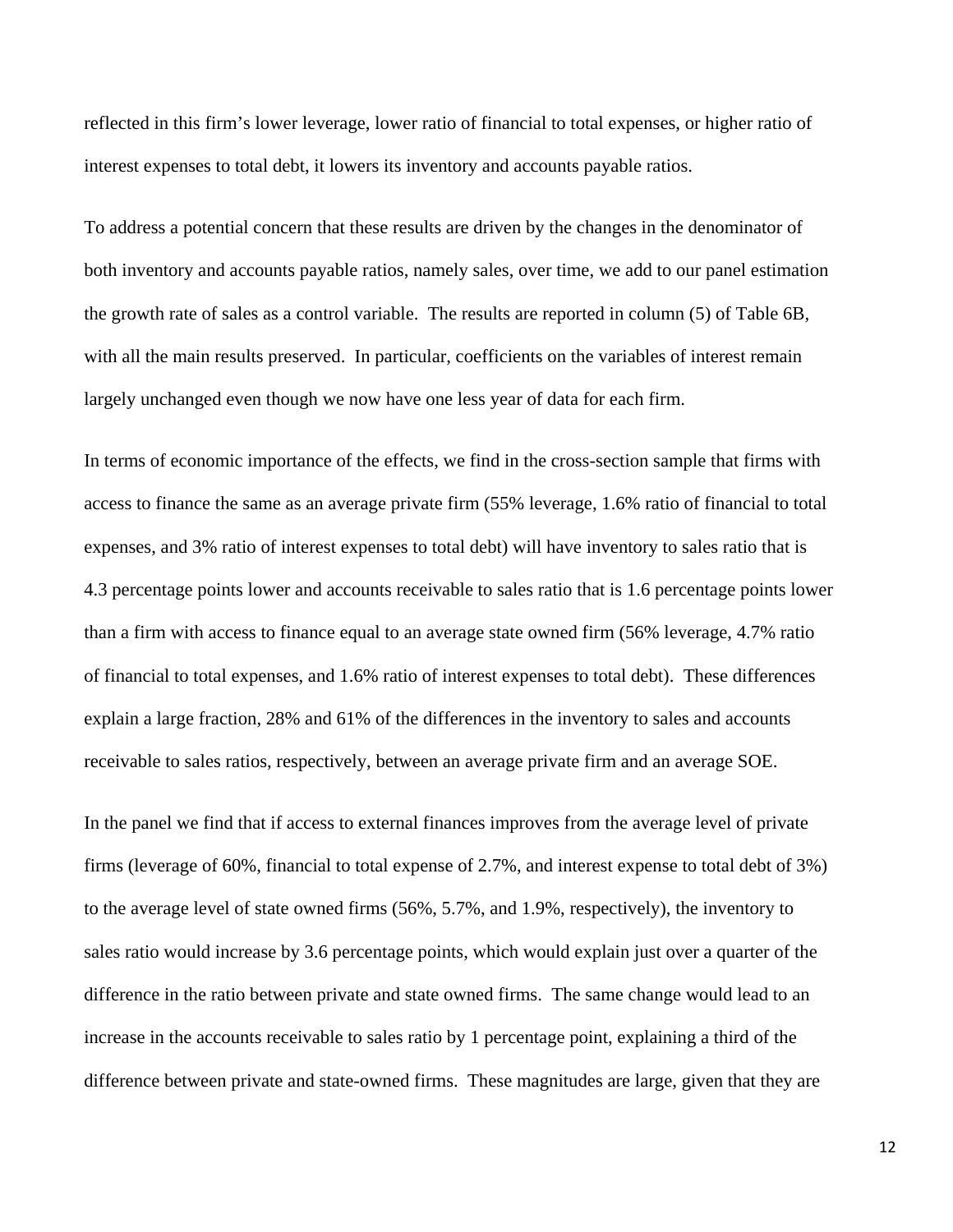reflected in this firm's lower leverage, lower ratio of financial to total expenses, or higher ratio of interest expenses to total debt, it lowers its inventory and accounts payable ratios.

To address a potential concern that these results are driven by the changes in the denominator of both inventory and accounts payable ratios, namely sales, over time, we add to our panel estimation the growth rate of sales as a control variable. The results are reported in column (5) of Table 6B, with all the main results preserved. In particular, coefficients on the variables of interest remain largely unchanged even though we now have one less year of data for each firm.

In terms of economic importance of the effects, we find in the cross-section sample that firms with access to finance the same as an average private firm (55% leverage, 1.6% ratio of financial to total expenses, and 3% ratio of interest expenses to total debt) will have inventory to sales ratio that is 4.3 percentage points lower and accounts receivable to sales ratio that is 1.6 percentage points lower than a firm with access to finance equal to an average state owned firm (56% leverage, 4.7% ratio of financial to total expenses, and 1.6% ratio of interest expenses to total debt). These differences explain a large fraction, 28% and 61% of the differences in the inventory to sales and accounts receivable to sales ratios, respectively, between an average private firm and an average SOE.

In the panel we find that if access to external finances improves from the average level of private firms (leverage of 60%, financial to total expense of 2.7%, and interest expense to total debt of 3%) to the average level of state owned firms (56%, 5.7%, and 1.9%, respectively), the inventory to sales ratio would increase by 3.6 percentage points, which would explain just over a quarter of the difference in the ratio between private and state owned firms. The same change would lead to an increase in the accounts receivable to sales ratio by 1 percentage point, explaining a third of the difference between private and state-owned firms. These magnitudes are large, given that they are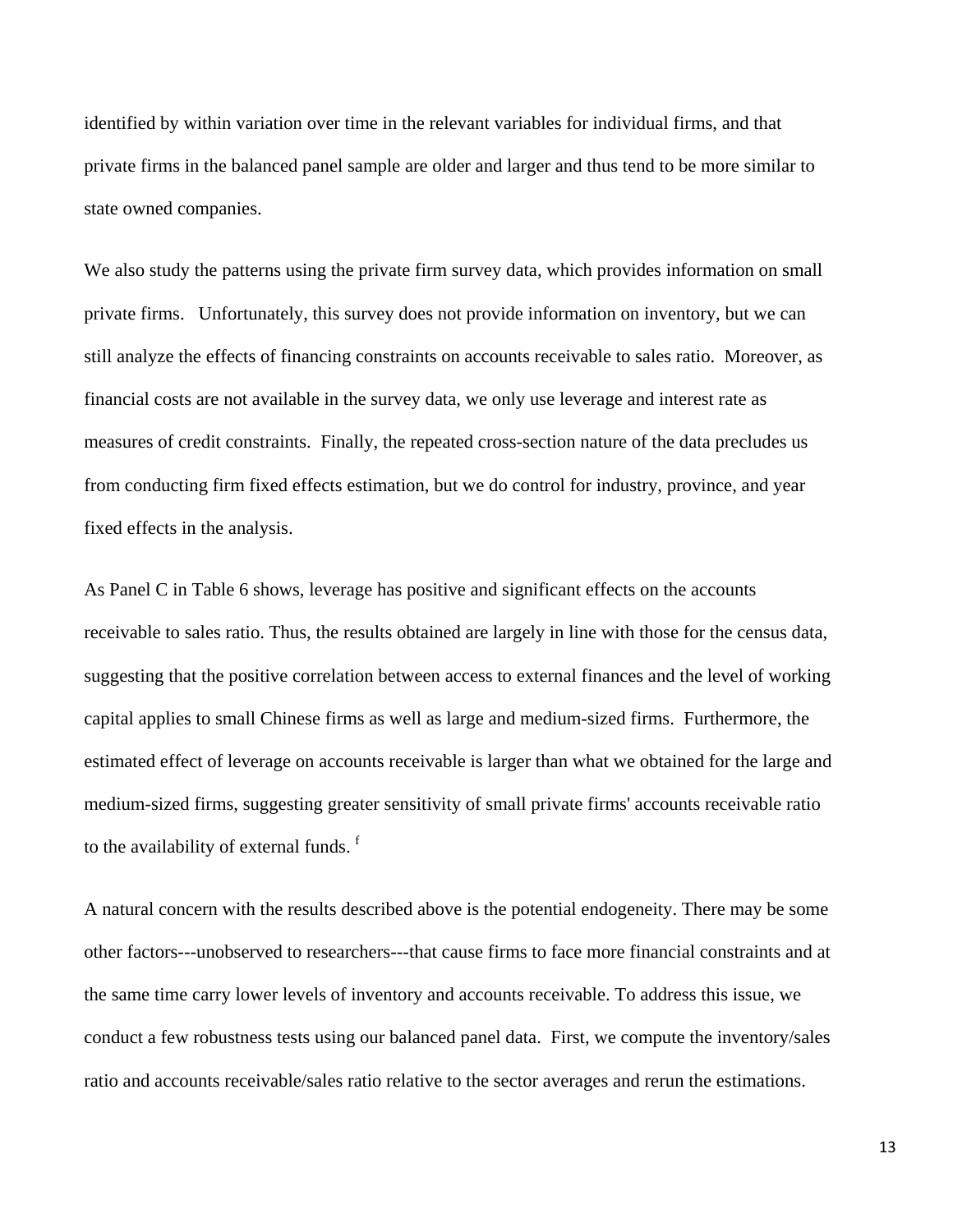identified by within variation over time in the relevant variables for individual firms, and that private firms in the balanced panel sample are older and larger and thus tend to be more similar to state owned companies.

We also study the patterns using the private firm survey data, which provides information on small private firms. Unfortunately, this survey does not provide information on inventory, but we can still analyze the effects of financing constraints on accounts receivable to sales ratio. Moreover, as financial costs are not available in the survey data, we only use leverage and interest rate as measures of credit constraints. Finally, the repeated cross-section nature of the data precludes us from conducting firm fixed effects estimation, but we do control for industry, province, and year fixed effects in the analysis.

As Panel C in Table 6 shows, leverage has positive and significant effects on the accounts receivable to sales ratio. Thus, the results obtained are largely in line with those for the census data, suggesting that the positive correlation between access to external finances and the level of working capital applies to small Chinese firms as well as large and medium-sized firms. Furthermore, the estimated effect of leverage on accounts receivable is larger than what we obtained for the large and medium-sized firms, suggesting greater sensitivity of small private firms' accounts receivable ratio to the availability of external funds.<sup>f</sup>

A natural concern with the results described above is the potential endogeneity. There may be some other factors---unobserved to researchers---that cause firms to face more financial constraints and at the same time carry lower levels of inventory and accounts receivable. To address this issue, we conduct a few robustness tests using our balanced panel data. First, we compute the inventory/sales ratio and accounts receivable/sales ratio relative to the sector averages and rerun the estimations.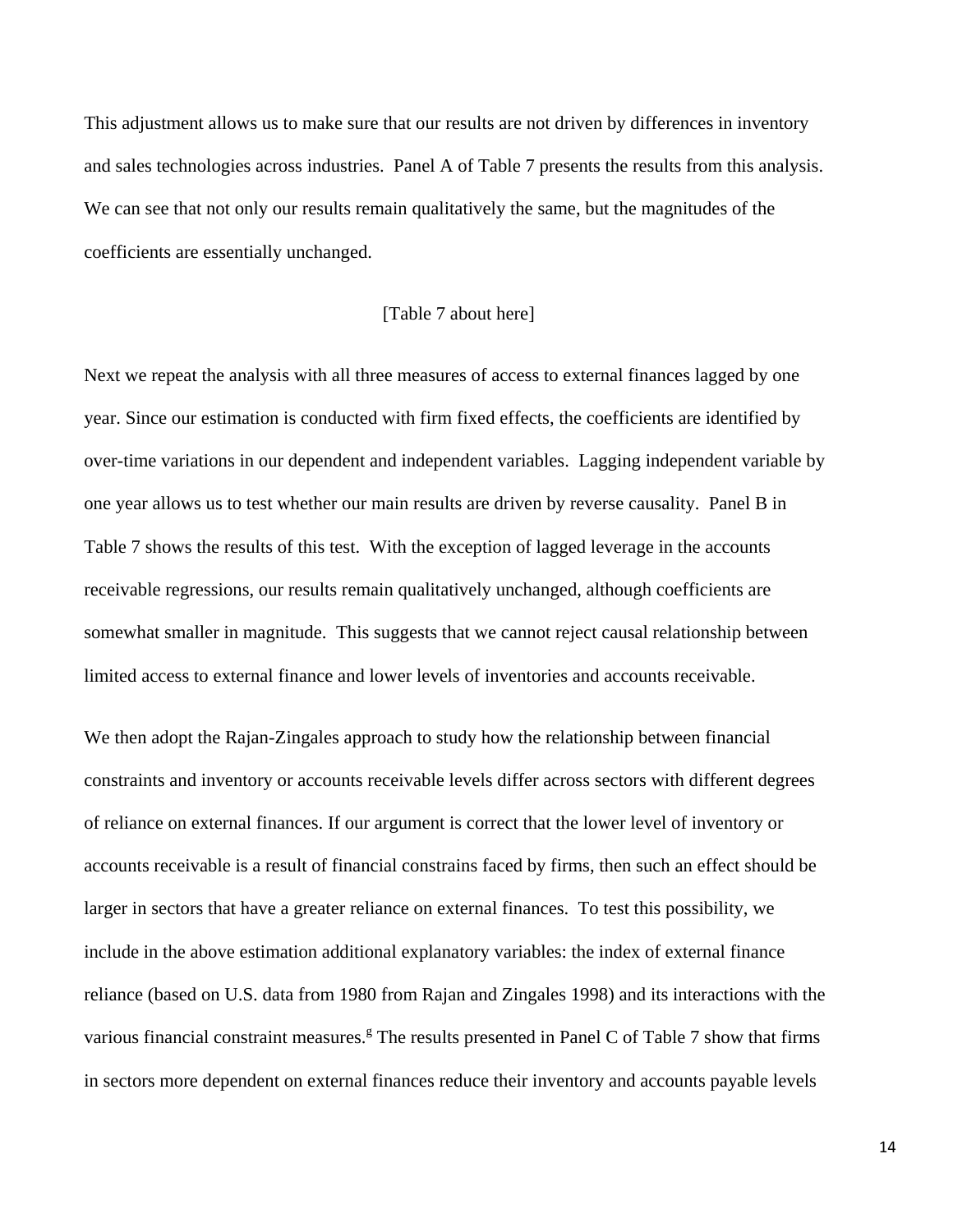This adjustment allows us to make sure that our results are not driven by differences in inventory and sales technologies across industries. Panel A of Table 7 presents the results from this analysis. We can see that not only our results remain qualitatively the same, but the magnitudes of the coefficients are essentially unchanged.

### [Table 7 about here]

Next we repeat the analysis with all three measures of access to external finances lagged by one year. Since our estimation is conducted with firm fixed effects, the coefficients are identified by over-time variations in our dependent and independent variables. Lagging independent variable by one year allows us to test whether our main results are driven by reverse causality. Panel B in Table 7 shows the results of this test. With the exception of lagged leverage in the accounts receivable regressions, our results remain qualitatively unchanged, although coefficients are somewhat smaller in magnitude. This suggests that we cannot reject causal relationship between limited access to external finance and lower levels of inventories and accounts receivable.

We then adopt the Rajan-Zingales approach to study how the relationship between financial constraints and inventory or accounts receivable levels differ across sectors with different degrees of reliance on external finances. If our argument is correct that the lower level of inventory or accounts receivable is a result of financial constrains faced by firms, then such an effect should be larger in sectors that have a greater reliance on external finances. To test this possibility, we include in the above estimation additional explanatory variables: the index of external finance reliance (based on U.S. data from 1980 from Rajan and Zingales 1998) and its interactions with the various financial constraint measures.<sup>g</sup> The results presented in Panel C of Table 7 show that firms in sectors more dependent on external finances reduce their inventory and accounts payable levels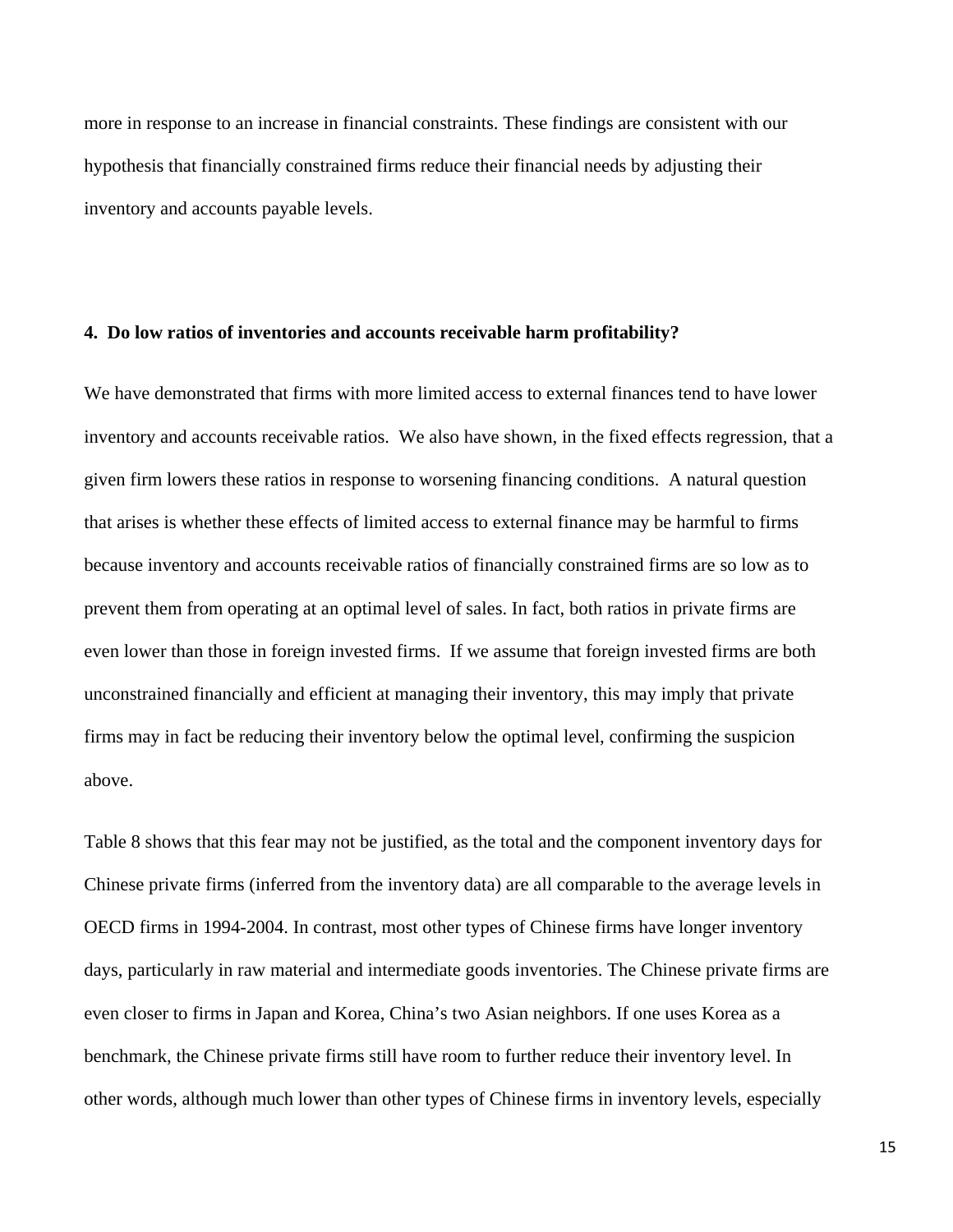more in response to an increase in financial constraints. These findings are consistent with our hypothesis that financially constrained firms reduce their financial needs by adjusting their inventory and accounts payable levels.

#### **4. Do low ratios of inventories and accounts receivable harm profitability?**

We have demonstrated that firms with more limited access to external finances tend to have lower inventory and accounts receivable ratios. We also have shown, in the fixed effects regression, that a given firm lowers these ratios in response to worsening financing conditions. A natural question that arises is whether these effects of limited access to external finance may be harmful to firms because inventory and accounts receivable ratios of financially constrained firms are so low as to prevent them from operating at an optimal level of sales. In fact, both ratios in private firms are even lower than those in foreign invested firms. If we assume that foreign invested firms are both unconstrained financially and efficient at managing their inventory, this may imply that private firms may in fact be reducing their inventory below the optimal level, confirming the suspicion above.

Table 8 shows that this fear may not be justified, as the total and the component inventory days for Chinese private firms (inferred from the inventory data) are all comparable to the average levels in OECD firms in 1994-2004. In contrast, most other types of Chinese firms have longer inventory days, particularly in raw material and intermediate goods inventories. The Chinese private firms are even closer to firms in Japan and Korea, China's two Asian neighbors. If one uses Korea as a benchmark, the Chinese private firms still have room to further reduce their inventory level. In other words, although much lower than other types of Chinese firms in inventory levels, especially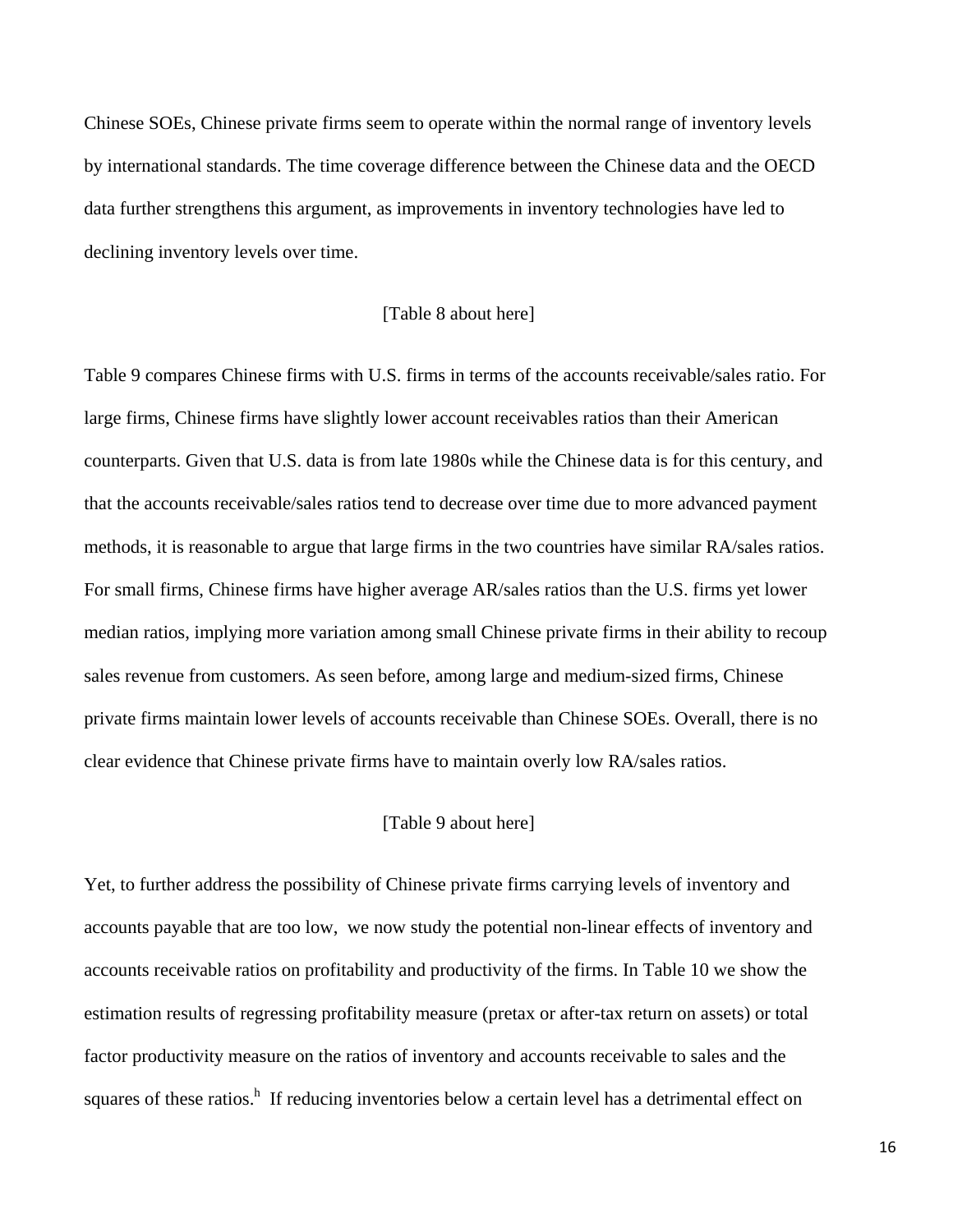Chinese SOEs, Chinese private firms seem to operate within the normal range of inventory levels by international standards. The time coverage difference between the Chinese data and the OECD data further strengthens this argument, as improvements in inventory technologies have led to declining inventory levels over time.

### [Table 8 about here]

Table 9 compares Chinese firms with U.S. firms in terms of the accounts receivable/sales ratio. For large firms, Chinese firms have slightly lower account receivables ratios than their American counterparts. Given that U.S. data is from late 1980s while the Chinese data is for this century, and that the accounts receivable/sales ratios tend to decrease over time due to more advanced payment methods, it is reasonable to argue that large firms in the two countries have similar RA/sales ratios. For small firms, Chinese firms have higher average AR/sales ratios than the U.S. firms yet lower median ratios, implying more variation among small Chinese private firms in their ability to recoup sales revenue from customers. As seen before, among large and medium-sized firms, Chinese private firms maintain lower levels of accounts receivable than Chinese SOEs. Overall, there is no clear evidence that Chinese private firms have to maintain overly low RA/sales ratios.

### [Table 9 about here]

Yet, to further address the possibility of Chinese private firms carrying levels of inventory and accounts payable that are too low, we now study the potential non-linear effects of inventory and accounts receivable ratios on profitability and productivity of the firms. In Table 10 we show the estimation results of regressing profitability measure (pretax or after-tax return on assets) or total factor productivity measure on the ratios of inventory and accounts receivable to sales and the squares of these ratios.<sup>h</sup> If reducing inventories below a certain level has a detrimental effect on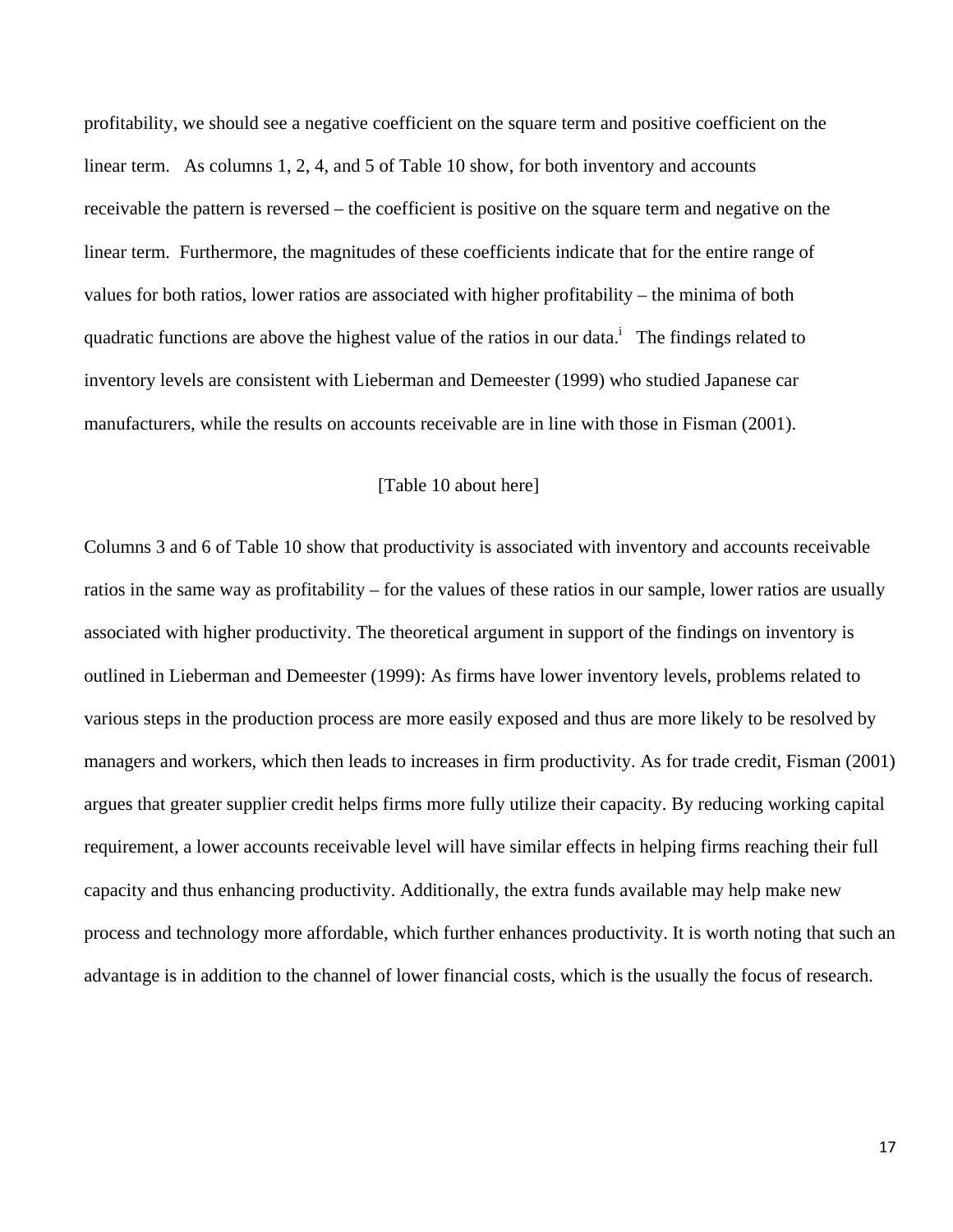profitability, we should see a negative coefficient on the square term and positive coefficient on the linear term. As columns 1, 2, 4, and 5 of Table 10 show, for both inventory and accounts receivable the pattern is reversed – the coefficient is positive on the square term and negative on the linear term. Furthermore, the magnitudes of these coefficients indicate that for the entire range of values for both ratios, lower ratios are associated with higher profitability – the minima of both quadratic functions are above the highest value of the ratios in our data.<sup>i</sup> The findings related to inventory levels are consistent with Lieberman and Demeester (1999) who studied Japanese car manufacturers, while the results on accounts receivable are in line with those in Fisman (2001).

### [Table 10 about here]

Columns 3 and 6 of Table 10 show that productivity is associated with inventory and accounts receivable ratios in the same way as profitability – for the values of these ratios in our sample, lower ratios are usually associated with higher productivity. The theoretical argument in support of the findings on inventory is outlined in Lieberman and Demeester (1999): As firms have lower inventory levels, problems related to various steps in the production process are more easily exposed and thus are more likely to be resolved by managers and workers, which then leads to increases in firm productivity. As for trade credit, Fisman (2001) argues that greater supplier credit helps firms more fully utilize their capacity. By reducing working capital requirement, a lower accounts receivable level will have similar effects in helping firms reaching their full capacity and thus enhancing productivity. Additionally, the extra funds available may help make new process and technology more affordable, which further enhances productivity. It is worth noting that such an advantage is in addition to the channel of lower financial costs, which is the usually the focus of research.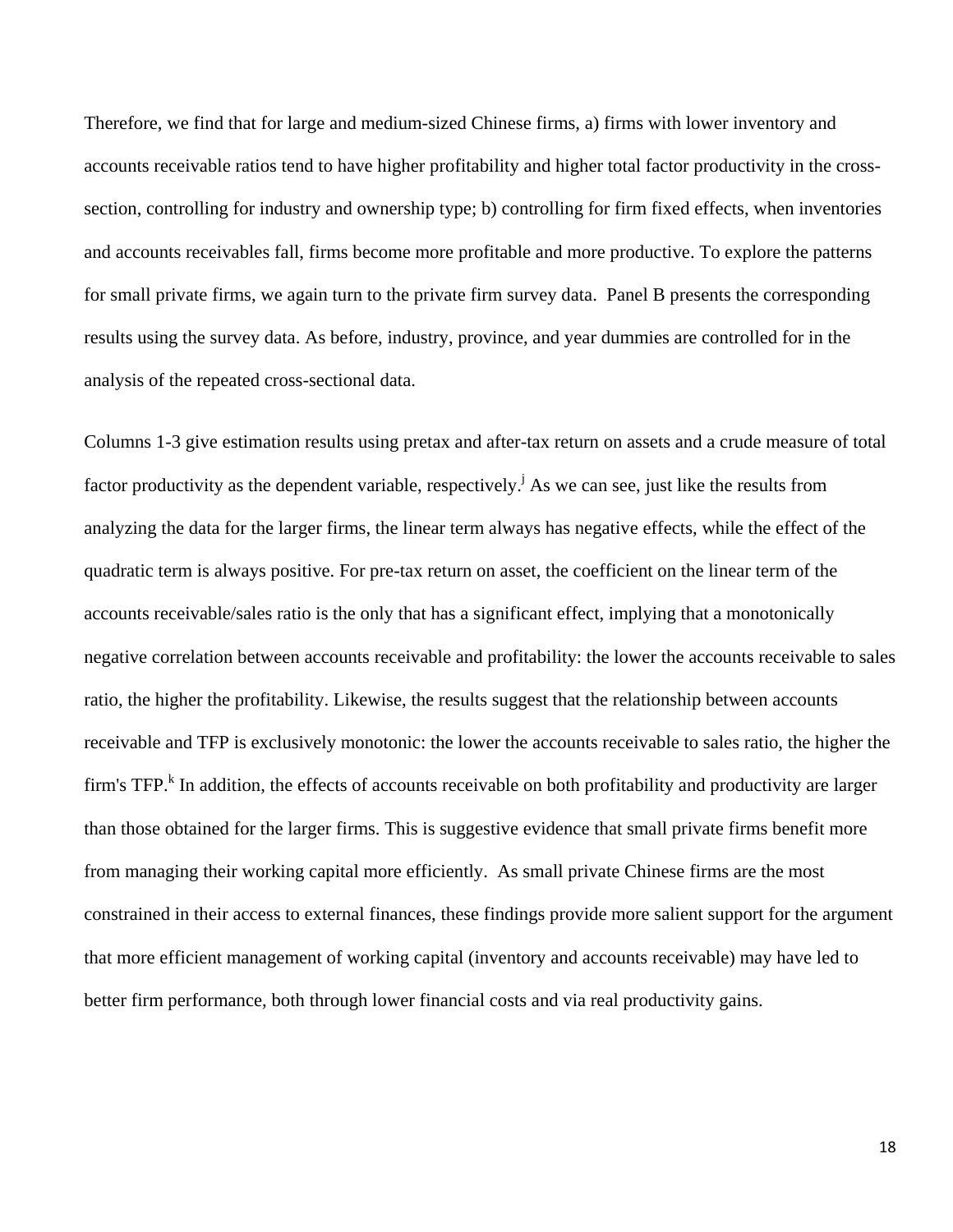Therefore, we find that for large and medium-sized Chinese firms, a) firms with lower inventory and accounts receivable ratios tend to have higher profitability and higher total factor productivity in the crosssection, controlling for industry and ownership type; b) controlling for firm fixed effects, when inventories and accounts receivables fall, firms become more profitable and more productive. To explore the patterns for small private firms, we again turn to the private firm survey data. Panel B presents the corresponding results using the survey data. As before, industry, province, and year dummies are controlled for in the analysis of the repeated cross-sectional data.

Columns 1-3 give estimation results using pretax and after-tax return on assets and a crude measure of total factor productivity as the dependent variable, respectively.<sup> $j$ </sup> As we can see, just like the results from analyzing the data for the larger firms, the linear term always has negative effects, while the effect of the quadratic term is always positive. For pre-tax return on asset, the coefficient on the linear term of the accounts receivable/sales ratio is the only that has a significant effect, implying that a monotonically negative correlation between accounts receivable and profitability: the lower the accounts receivable to sales ratio, the higher the profitability. Likewise, the results suggest that the relationship between accounts receivable and TFP is exclusively monotonic: the lower the accounts receivable to sales ratio, the higher the firm's TFP.<sup>k</sup> In addition, the effects of accounts receivable on both profitability and productivity are larger than those obtained for the larger firms. This is suggestive evidence that small private firms benefit more from managing their working capital more efficiently. As small private Chinese firms are the most constrained in their access to external finances, these findings provide more salient support for the argument that more efficient management of working capital (inventory and accounts receivable) may have led to better firm performance, both through lower financial costs and via real productivity gains.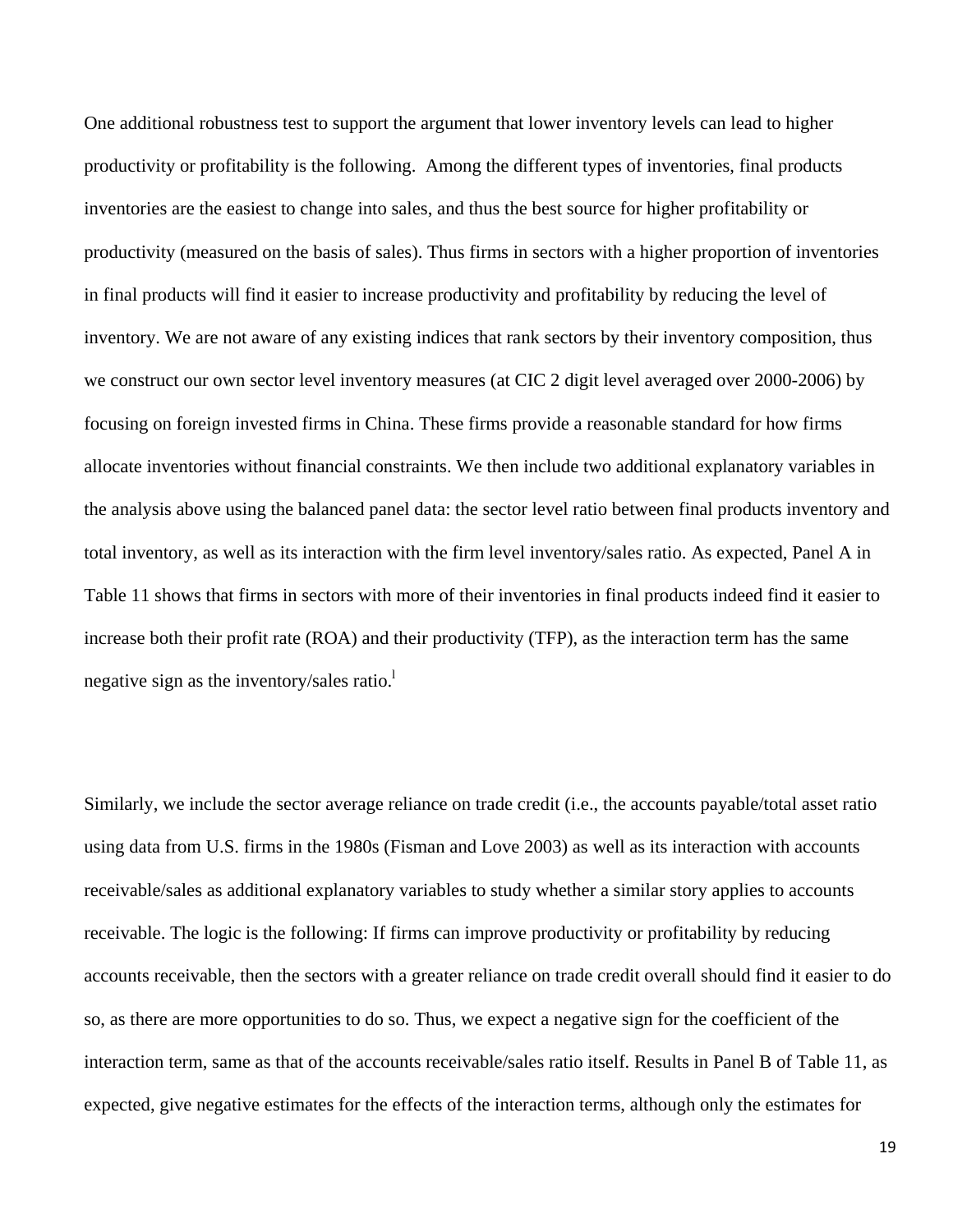One additional robustness test to support the argument that lower inventory levels can lead to higher productivity or profitability is the following. Among the different types of inventories, final products inventories are the easiest to change into sales, and thus the best source for higher profitability or productivity (measured on the basis of sales). Thus firms in sectors with a higher proportion of inventories in final products will find it easier to increase productivity and profitability by reducing the level of inventory. We are not aware of any existing indices that rank sectors by their inventory composition, thus we construct our own sector level inventory measures (at CIC 2 digit level averaged over 2000-2006) by focusing on foreign invested firms in China. These firms provide a reasonable standard for how firms allocate inventories without financial constraints. We then include two additional explanatory variables in the analysis above using the balanced panel data: the sector level ratio between final products inventory and total inventory, as well as its interaction with the firm level inventory/sales ratio. As expected, Panel A in Table 11 shows that firms in sectors with more of their inventories in final products indeed find it easier to increase both their profit rate (ROA) and their productivity (TFP), as the interaction term has the same negative sign as the inventory/sales ratio. $\frac{1}{2}$ 

Similarly, we include the sector average reliance on trade credit (i.e., the accounts payable/total asset ratio using data from U.S. firms in the 1980s (Fisman and Love 2003) as well as its interaction with accounts receivable/sales as additional explanatory variables to study whether a similar story applies to accounts receivable. The logic is the following: If firms can improve productivity or profitability by reducing accounts receivable, then the sectors with a greater reliance on trade credit overall should find it easier to do so, as there are more opportunities to do so. Thus, we expect a negative sign for the coefficient of the interaction term, same as that of the accounts receivable/sales ratio itself. Results in Panel B of Table 11, as expected, give negative estimates for the effects of the interaction terms, although only the estimates for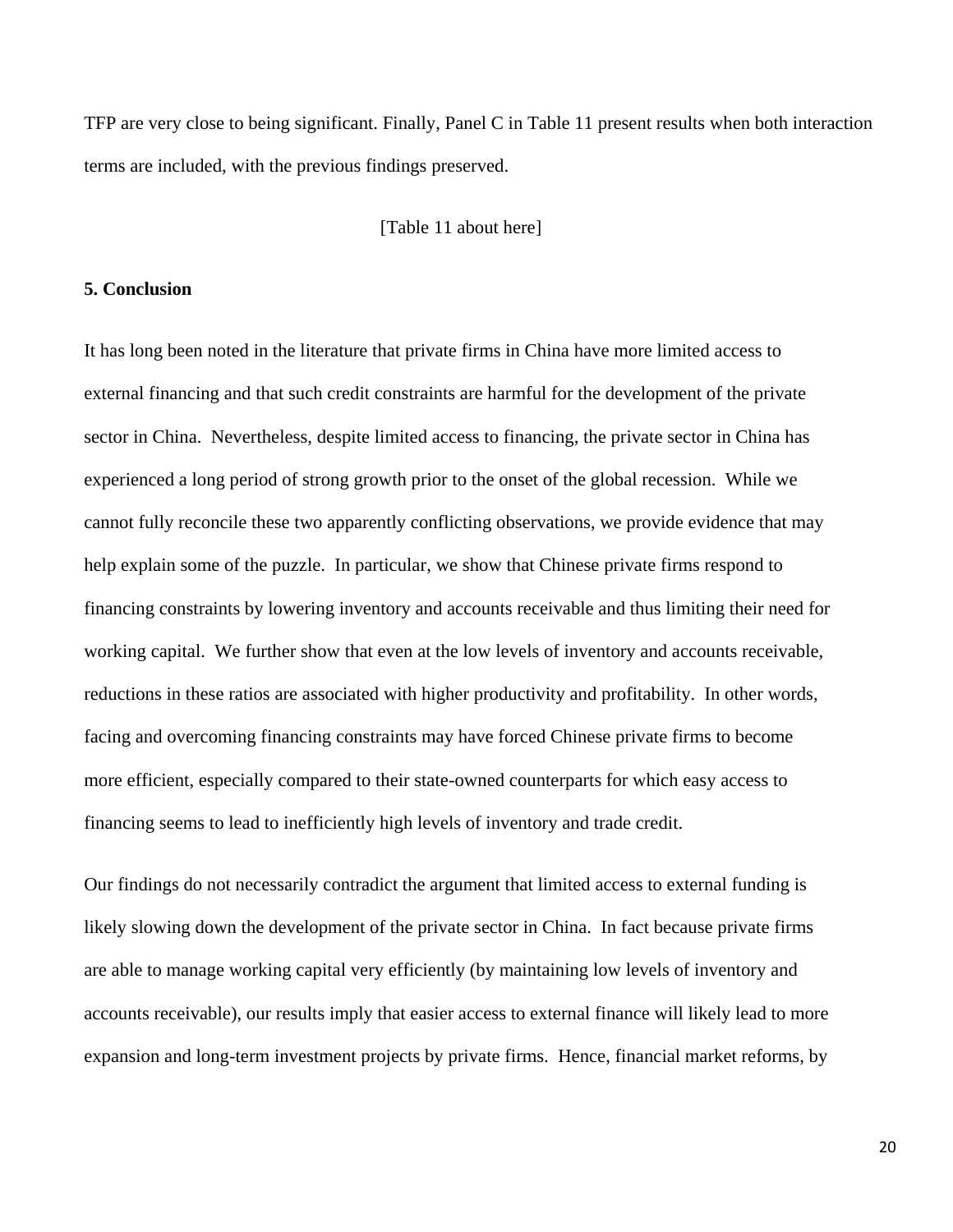TFP are very close to being significant. Finally, Panel C in Table 11 present results when both interaction terms are included, with the previous findings preserved.

[Table 11 about here]

#### **5. Conclusion**

It has long been noted in the literature that private firms in China have more limited access to external financing and that such credit constraints are harmful for the development of the private sector in China. Nevertheless, despite limited access to financing, the private sector in China has experienced a long period of strong growth prior to the onset of the global recession. While we cannot fully reconcile these two apparently conflicting observations, we provide evidence that may help explain some of the puzzle. In particular, we show that Chinese private firms respond to financing constraints by lowering inventory and accounts receivable and thus limiting their need for working capital. We further show that even at the low levels of inventory and accounts receivable, reductions in these ratios are associated with higher productivity and profitability. In other words, facing and overcoming financing constraints may have forced Chinese private firms to become more efficient, especially compared to their state-owned counterparts for which easy access to financing seems to lead to inefficiently high levels of inventory and trade credit.

Our findings do not necessarily contradict the argument that limited access to external funding is likely slowing down the development of the private sector in China. In fact because private firms are able to manage working capital very efficiently (by maintaining low levels of inventory and accounts receivable), our results imply that easier access to external finance will likely lead to more expansion and long-term investment projects by private firms. Hence, financial market reforms, by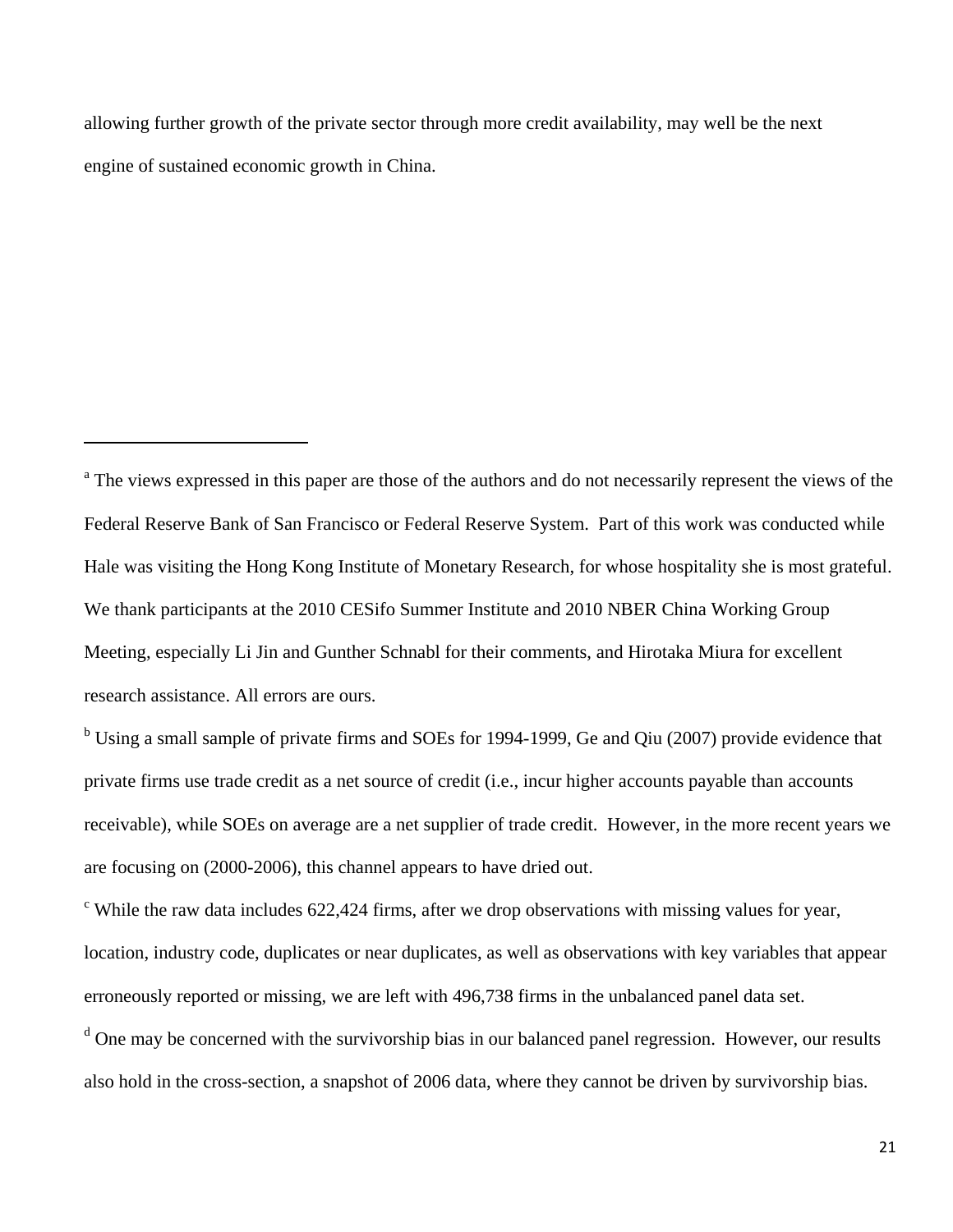allowing further growth of the private sector through more credit availability, may well be the next engine of sustained economic growth in China.

<sup>a</sup> The views expressed in this paper are those of the authors and do not necessarily represent the views of the Federal Reserve Bank of San Francisco or Federal Reserve System. Part of this work was conducted while Hale was visiting the Hong Kong Institute of Monetary Research, for whose hospitality she is most grateful. We thank participants at the 2010 CESifo Summer Institute and 2010 NBER China Working Group Meeting, especially Li Jin and Gunther Schnabl for their comments, and Hirotaka Miura for excellent research assistance. All errors are ours.

<sup>b</sup> Using a small sample of private firms and SOEs for 1994-1999, Ge and Qiu (2007) provide evidence that private firms use trade credit as a net source of credit (i.e., incur higher accounts payable than accounts receivable), while SOEs on average are a net supplier of trade credit. However, in the more recent years we are focusing on (2000-2006), this channel appears to have dried out.

 $\epsilon$  While the raw data includes 622,424 firms, after we drop observations with missing values for year, location, industry code, duplicates or near duplicates, as well as observations with key variables that appear erroneously reported or missing, we are left with 496,738 firms in the unbalanced panel data set.

<sup>d</sup> One may be concerned with the survivorship bias in our balanced panel regression. However, our results also hold in the cross-section, a snapshot of 2006 data, where they cannot be driven by survivorship bias.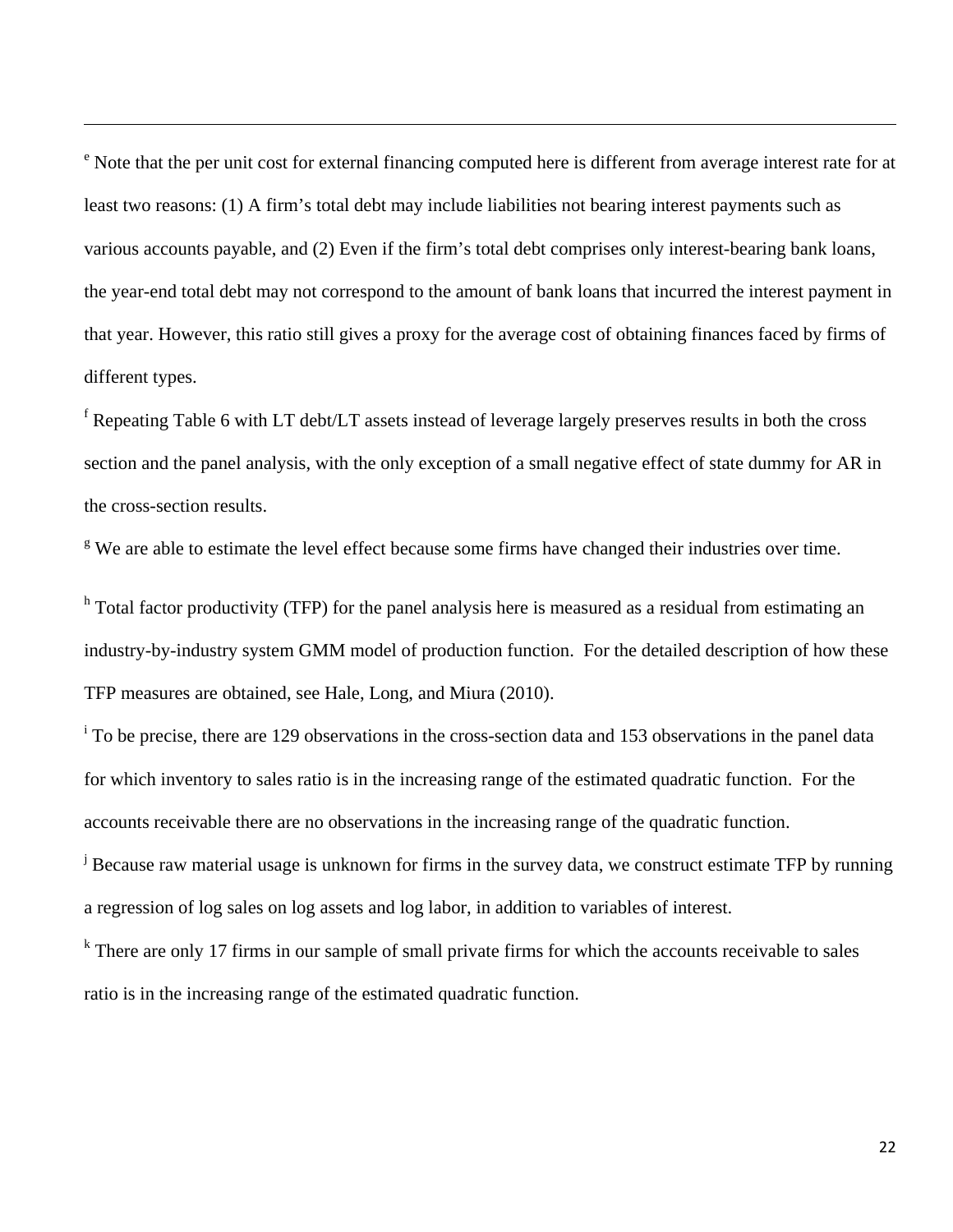<sup>e</sup> Note that the per unit cost for external financing computed here is different from average interest rate for at least two reasons: (1) A firm's total debt may include liabilities not bearing interest payments such as various accounts payable, and (2) Even if the firm's total debt comprises only interest-bearing bank loans, the year-end total debt may not correspond to the amount of bank loans that incurred the interest payment in that year. However, this ratio still gives a proxy for the average cost of obtaining finances faced by firms of different types.

<u> 1989 - Andrea Santa Andrea Santa Andrea Santa Andrea Santa Andrea Santa Andrea Santa Andrea Santa Andrea San</u>

<sup>f</sup> Repeating Table 6 with LT debt/LT assets instead of leverage largely preserves results in both the cross section and the panel analysis, with the only exception of a small negative effect of state dummy for AR in the cross-section results.

<sup>g</sup> We are able to estimate the level effect because some firms have changed their industries over time.

<sup>h</sup> Total factor productivity (TFP) for the panel analysis here is measured as a residual from estimating an industry-by-industry system GMM model of production function. For the detailed description of how these TFP measures are obtained, see Hale, Long, and Miura (2010).

<sup>i</sup> To be precise, there are 129 observations in the cross-section data and 153 observations in the panel data for which inventory to sales ratio is in the increasing range of the estimated quadratic function. For the accounts receivable there are no observations in the increasing range of the quadratic function.

<sup>j</sup> Because raw material usage is unknown for firms in the survey data, we construct estimate TFP by running a regression of log sales on log assets and log labor, in addition to variables of interest.

<sup>k</sup> There are only 17 firms in our sample of small private firms for which the accounts receivable to sales ratio is in the increasing range of the estimated quadratic function.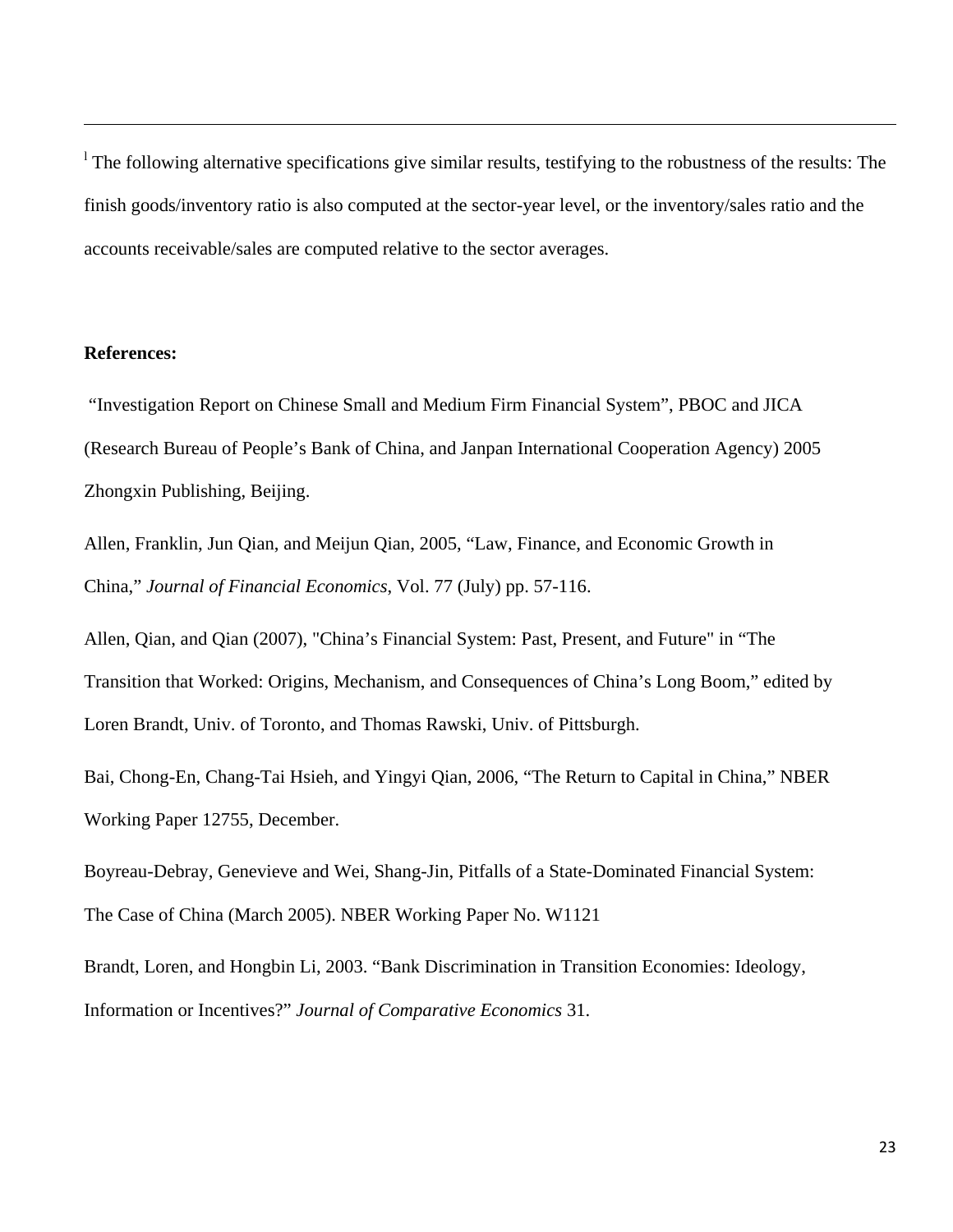<sup>1</sup> The following alternative specifications give similar results, testifying to the robustness of the results: The finish goods/inventory ratio is also computed at the sector-year level, or the inventory/sales ratio and the accounts receivable/sales are computed relative to the sector averages.

<u> 1989 - Andrea Santa Andrea Santa Andrea Santa Andrea Santa Andrea Santa Andrea Santa Andrea Santa Andrea San</u>

### **References:**

 "Investigation Report on Chinese Small and Medium Firm Financial System", PBOC and JICA (Research Bureau of People's Bank of China, and Janpan International Cooperation Agency) 2005 Zhongxin Publishing, Beijing.

Allen, Franklin, Jun Qian, and Meijun Qian, 2005, "Law, Finance, and Economic Growth in China," *Journal of Financial Economics*, Vol. 77 (July) pp. 57-116.

Allen, Qian, and Qian (2007), "China's Financial System: Past, Present, and Future" in "The Transition that Worked: Origins, Mechanism, and Consequences of China's Long Boom," edited by Loren Brandt, Univ. of Toronto, and Thomas Rawski, Univ. of Pittsburgh.

Bai, Chong-En, Chang-Tai Hsieh, and Yingyi Qian, 2006, "The Return to Capital in China," NBER Working Paper 12755, December.

Boyreau-Debray, Genevieve and Wei, Shang-Jin, Pitfalls of a State-Dominated Financial System: The Case of China (March 2005). NBER Working Paper No. W1121

Brandt, Loren, and Hongbin Li, 2003. "Bank Discrimination in Transition Economies: Ideology, Information or Incentives?" *Journal of Comparative Economics* 31.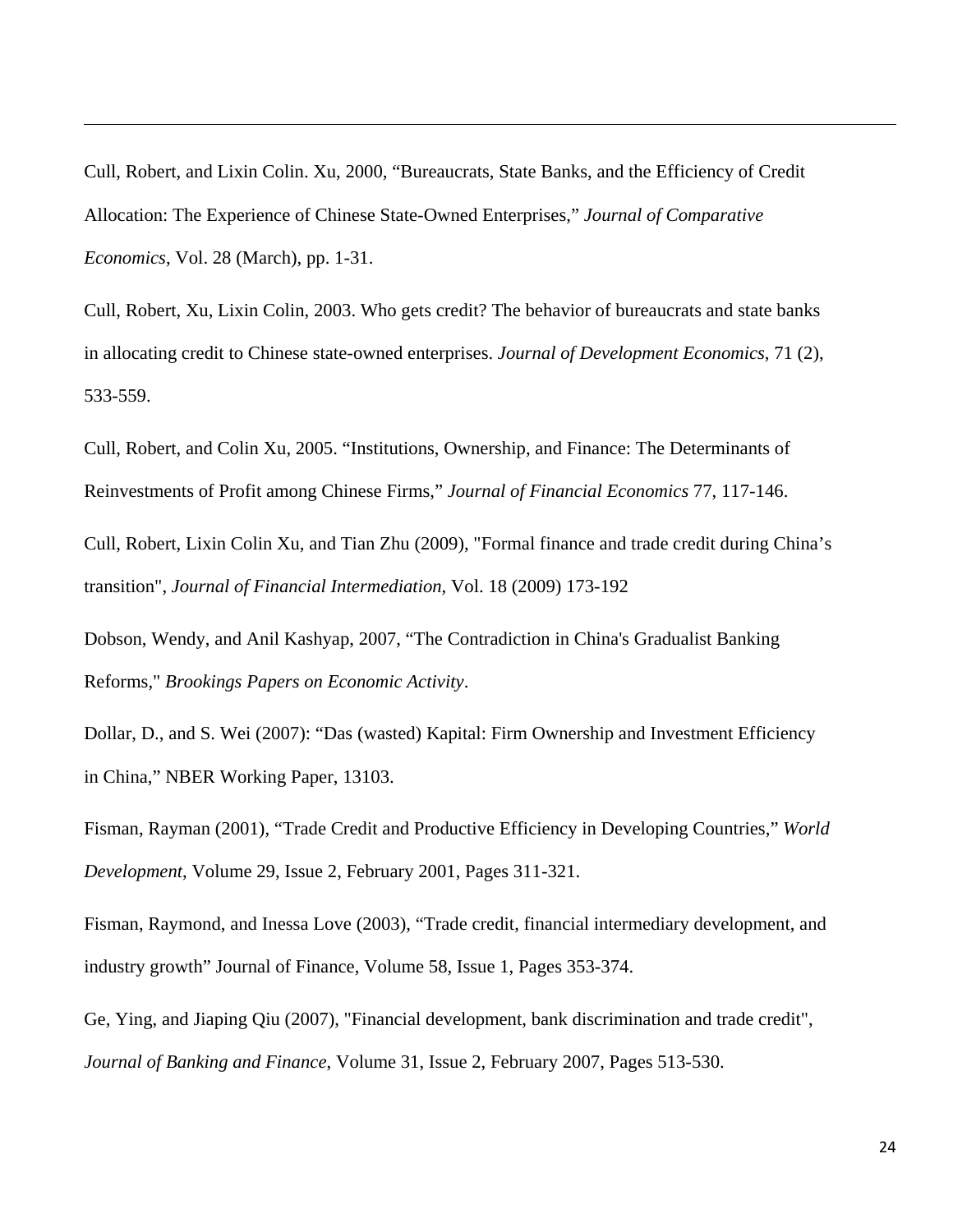Cull, Robert, and Lixin Colin. Xu, 2000, "Bureaucrats, State Banks, and the Efficiency of Credit Allocation: The Experience of Chinese State-Owned Enterprises," *Journal of Comparative Economics*, Vol. 28 (March), pp. 1-31.

<u> 1989 - Andrea Santa Andrea Santa Andrea Santa Andrea Santa Andrea Santa Andrea Santa Andrea Santa Andrea San</u>

Cull, Robert, Xu, Lixin Colin, 2003. Who gets credit? The behavior of bureaucrats and state banks in allocating credit to Chinese state-owned enterprises. *Journal of Development Economics*, 71 (2), 533-559.

Cull, Robert, and Colin Xu, 2005. "Institutions, Ownership, and Finance: The Determinants of Reinvestments of Profit among Chinese Firms," *Journal of Financial Economics* 77, 117-146.

Cull, Robert, Lixin Colin Xu, and Tian Zhu (2009), "Formal finance and trade credit during China's transition", *Journal of Financial Intermediation*, Vol. 18 (2009) 173-192

Dobson, Wendy, and Anil Kashyap, 2007, "The Contradiction in China's Gradualist Banking Reforms," *Brookings Papers on Economic Activity*.

Dollar, D., and S. Wei (2007): "Das (wasted) Kapital: Firm Ownership and Investment Efficiency in China," NBER Working Paper, 13103.

Fisman, Rayman (2001), "Trade Credit and Productive Efficiency in Developing Countries," *World Development*, Volume 29, Issue 2, February 2001, Pages 311-321.

Fisman, Raymond, and Inessa Love (2003), "Trade credit, financial intermediary development, and industry growth" Journal of Finance, Volume 58, Issue 1, Pages 353-374.

Ge, Ying, and Jiaping Qiu (2007), "Financial development, bank discrimination and trade credit", *Journal of Banking and Finance*, Volume 31, Issue 2, February 2007, Pages 513-530.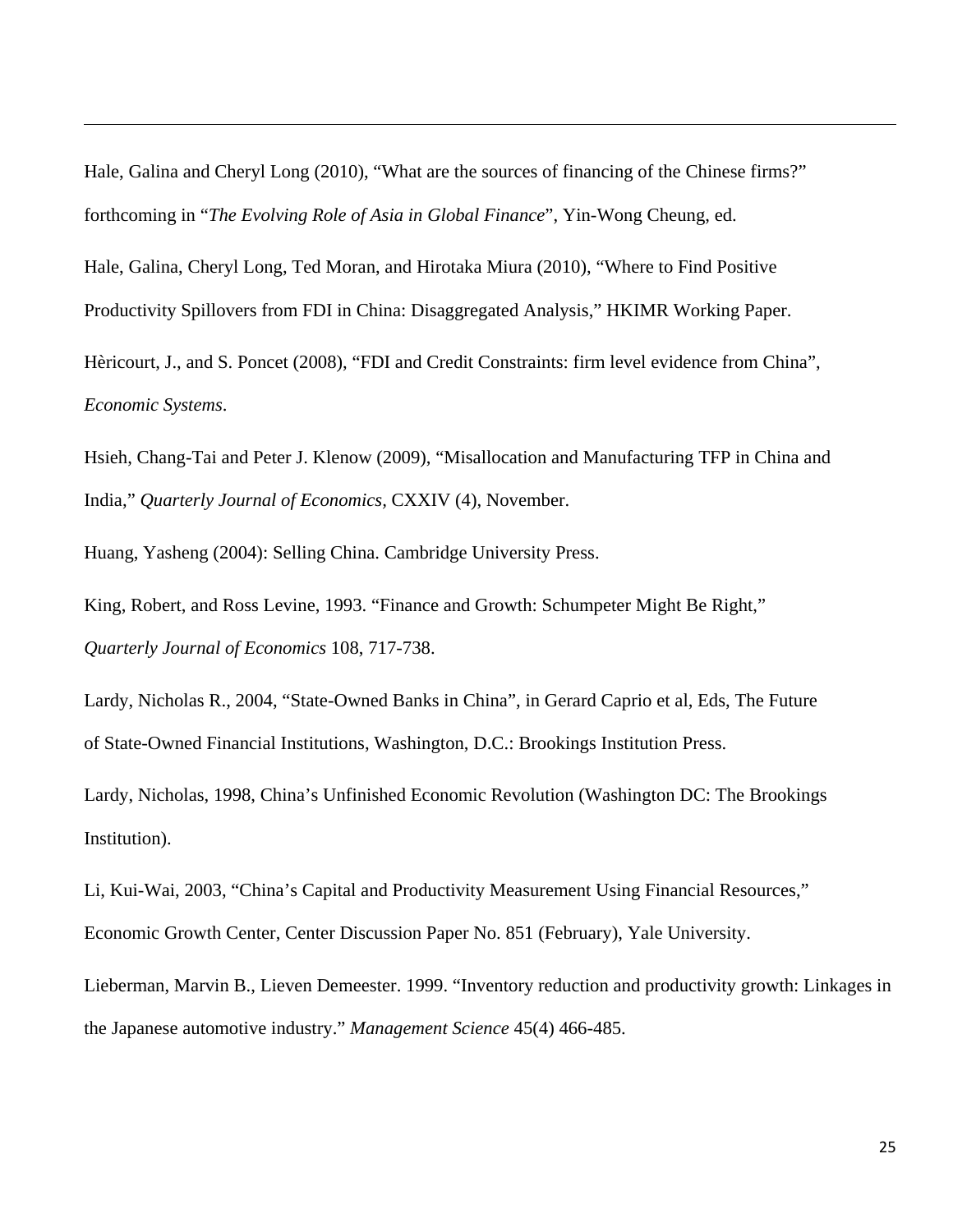Hale, Galina and Cheryl Long (2010), "What are the sources of financing of the Chinese firms?" forthcoming in "*The Evolving Role of Asia in Global Finance*", Yin-Wong Cheung, ed.

<u> 1989 - Andrea Santa Andrea Santa Andrea Santa Andrea Santa Andrea Santa Andrea Santa Andrea Santa Andrea San</u>

Hale, Galina, Cheryl Long, Ted Moran, and Hirotaka Miura (2010), "Where to Find Positive Productivity Spillovers from FDI in China: Disaggregated Analysis," HKIMR Working Paper.

Hèricourt, J., and S. Poncet (2008), "FDI and Credit Constraints: firm level evidence from China", *Economic Systems*.

Hsieh, Chang-Tai and Peter J. Klenow (2009), "Misallocation and Manufacturing TFP in China and India," *Quarterly Journal of Economics,* CXXIV (4), November.

Huang, Yasheng (2004): Selling China. Cambridge University Press.

King, Robert, and Ross Levine, 1993. "Finance and Growth: Schumpeter Might Be Right," *Quarterly Journal of Economics* 108, 717-738.

Lardy, Nicholas R., 2004, "State-Owned Banks in China", in Gerard Caprio et al, Eds, The Future of State-Owned Financial Institutions, Washington, D.C.: Brookings Institution Press.

Lardy, Nicholas, 1998, China's Unfinished Economic Revolution (Washington DC: The Brookings Institution).

Li, Kui-Wai, 2003, "China's Capital and Productivity Measurement Using Financial Resources," Economic Growth Center, Center Discussion Paper No. 851 (February), Yale University.

Lieberman, Marvin B., Lieven Demeester. 1999. "Inventory reduction and productivity growth: Linkages in the Japanese automotive industry." *Management Science* 45(4) 466-485.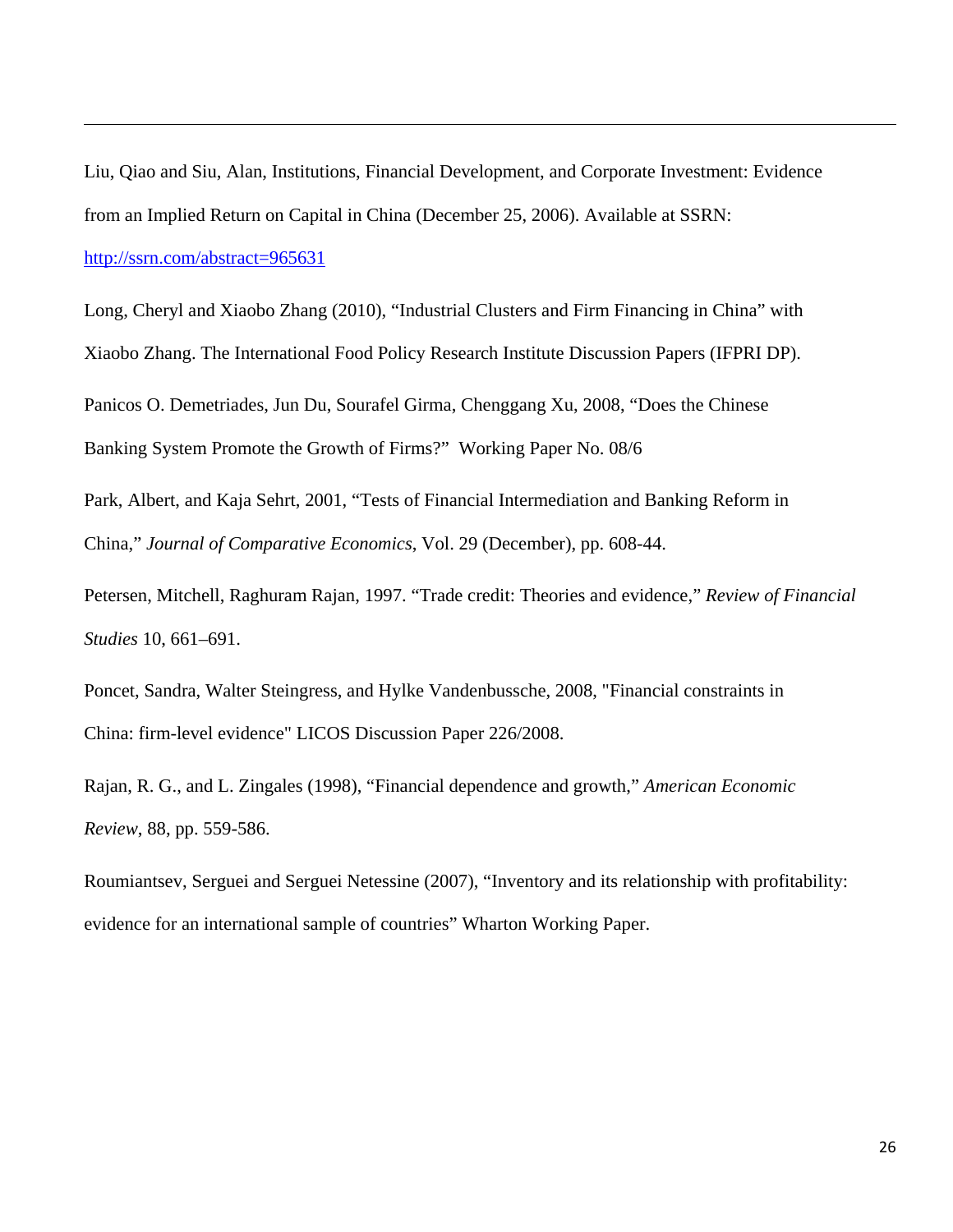Liu, Qiao and Siu, Alan, Institutions, Financial Development, and Corporate Investment: Evidence from an Implied Return on Capital in China (December 25, 2006). Available at SSRN: http://ssrn.com/abstract=965631

<u> 1989 - Andrea Santa Andrea Santa Andrea Santa Andrea Santa Andrea Santa Andrea Santa Andrea Santa Andrea San</u>

Long, Cheryl and Xiaobo Zhang (2010), "Industrial Clusters and Firm Financing in China" with Xiaobo Zhang. The International Food Policy Research Institute Discussion Papers (IFPRI DP).

Panicos O. Demetriades, Jun Du, Sourafel Girma, Chenggang Xu, 2008, "Does the Chinese Banking System Promote the Growth of Firms?" Working Paper No. 08/6

Park, Albert, and Kaja Sehrt, 2001, "Tests of Financial Intermediation and Banking Reform in China," *Journal of Comparative Economics*, Vol. 29 (December), pp. 608-44.

Petersen, Mitchell, Raghuram Rajan, 1997. "Trade credit: Theories and evidence," *Review of Financial Studies* 10, 661–691.

Poncet, Sandra, Walter Steingress, and Hylke Vandenbussche, 2008, "Financial constraints in China: firm-level evidence" LICOS Discussion Paper 226/2008.

Rajan, R. G., and L. Zingales (1998), "Financial dependence and growth," *American Economic Review*, 88, pp. 559-586.

Roumiantsev, Serguei and Serguei Netessine (2007), "Inventory and its relationship with profitability: evidence for an international sample of countries" Wharton Working Paper.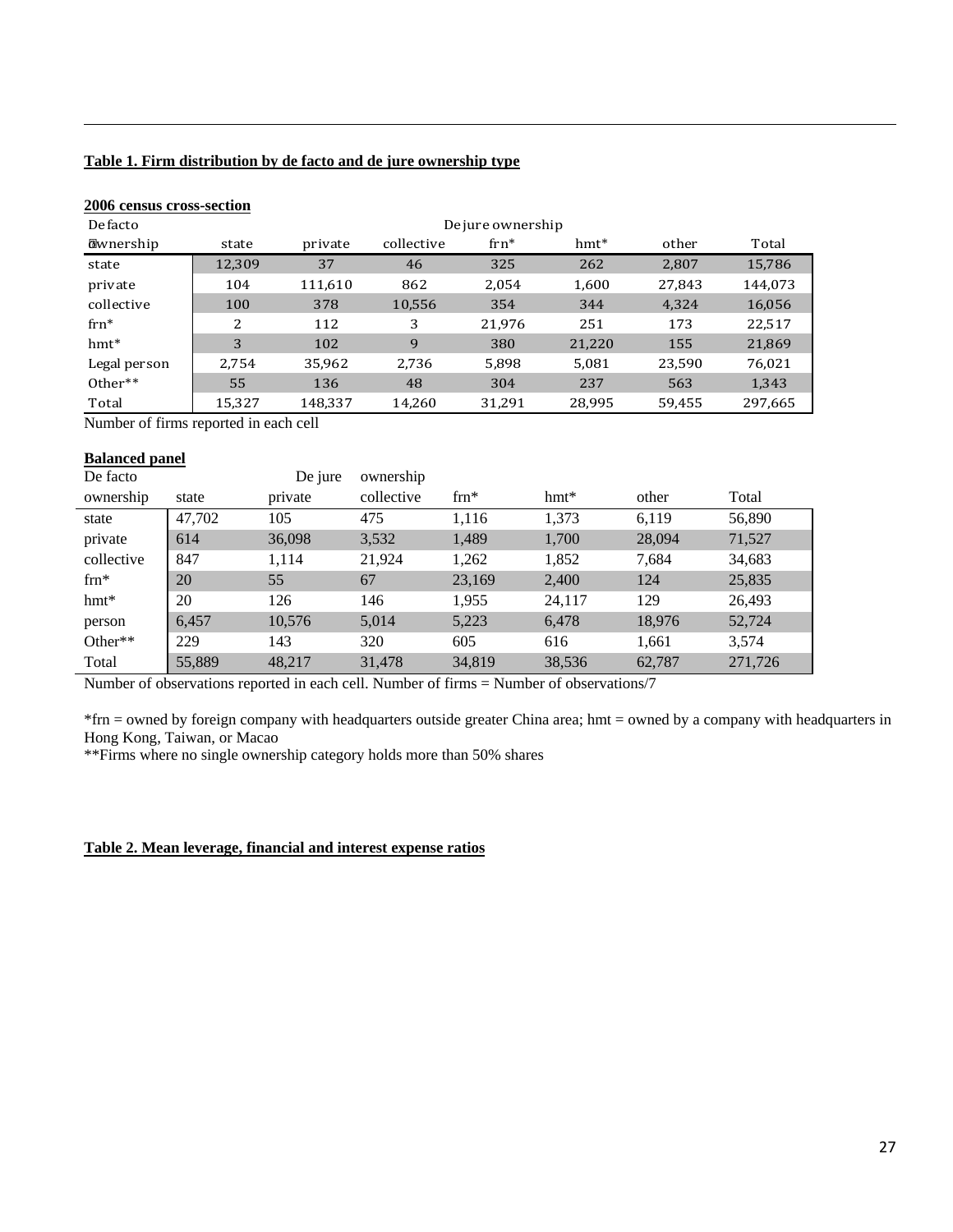#### **Table 1. Firm distribution by de facto and de jure ownership type**

#### **2006 census cross-section**

| De facto          |        |         |            | De jure ownership |        |        |         |
|-------------------|--------|---------|------------|-------------------|--------|--------|---------|
| <b>@</b> wnership | state  | private | collective | $\text{frn}^*$    | hmt*   | other  | Total   |
| state             | 12,309 | 37      | 46         | 325               | 262    | 2,807  | 15,786  |
| private           | 104    | 111,610 | 862        | 2,054             | 1,600  | 27,843 | 144,073 |
| collective        | 100    | 378     | 10,556     | 354               | 344    | 4,324  | 16,056  |
| $\text{frn}^*$    | 2      | 112     | 3          | 21,976            | 251    | 173    | 22,517  |
| $hmt*$            | 3      | 102     | 9          | 380               | 21,220 | 155    | 21,869  |
| Legal person      | 2,754  | 35,962  | 2,736      | 5,898             | 5,081  | 23,590 | 76,021  |
| Other**           | 55     | 136     | 48         | 304               | 237    | 563    | 1,343   |
| Total             | 15,327 | 148,337 | 14,260     | 31,291            | 28,995 | 59,455 | 297,665 |

<u> 1989 - Andrea Santa Andrea Santa Andrea Santa Andrea Santa Andrea Santa Andrea Santa Andrea Santa Andrea San</u>

Number of firms reported in each cell

### **Balanced panel**

| De facto      |        | De jure | ownership  |               |        |        |         |
|---------------|--------|---------|------------|---------------|--------|--------|---------|
| ownership     | state  | private | collective | $\text{fm}^*$ | $hmt*$ | other  | Total   |
| state         | 47.702 | 105     | 475        | 1.116         | 1.373  | 6.119  | 56,890  |
| private       | 614    | 36,098  | 3,532      | 1,489         | 1,700  | 28,094 | 71,527  |
| collective    | 847    | 1,114   | 21,924     | 1,262         | 1,852  | 7,684  | 34,683  |
| $\text{fm}^*$ | 20     | 55      | 67         | 23,169        | 2,400  | 124    | 25,835  |
| $hmt*$        | 20     | 126     | 146        | 1,955         | 24,117 | 129    | 26,493  |
| person        | 6,457  | 10,576  | 5,014      | 5,223         | 6,478  | 18,976 | 52,724  |
| Other**       | 229    | 143     | 320        | 605           | 616    | 1,661  | 3,574   |
| Total         | 55,889 | 48.217  | 31,478     | 34,819        | 38,536 | 62,787 | 271,726 |

Number of observations reported in each cell. Number of firms = Number of observations/7

\*frn = owned by foreign company with headquarters outside greater China area; hmt = owned by a company with headquarters in Hong Kong, Taiwan, or Macao

\*\*Firms where no single ownership category holds more than 50% shares

### **Table 2. Mean leverage, financial and interest expense ratios**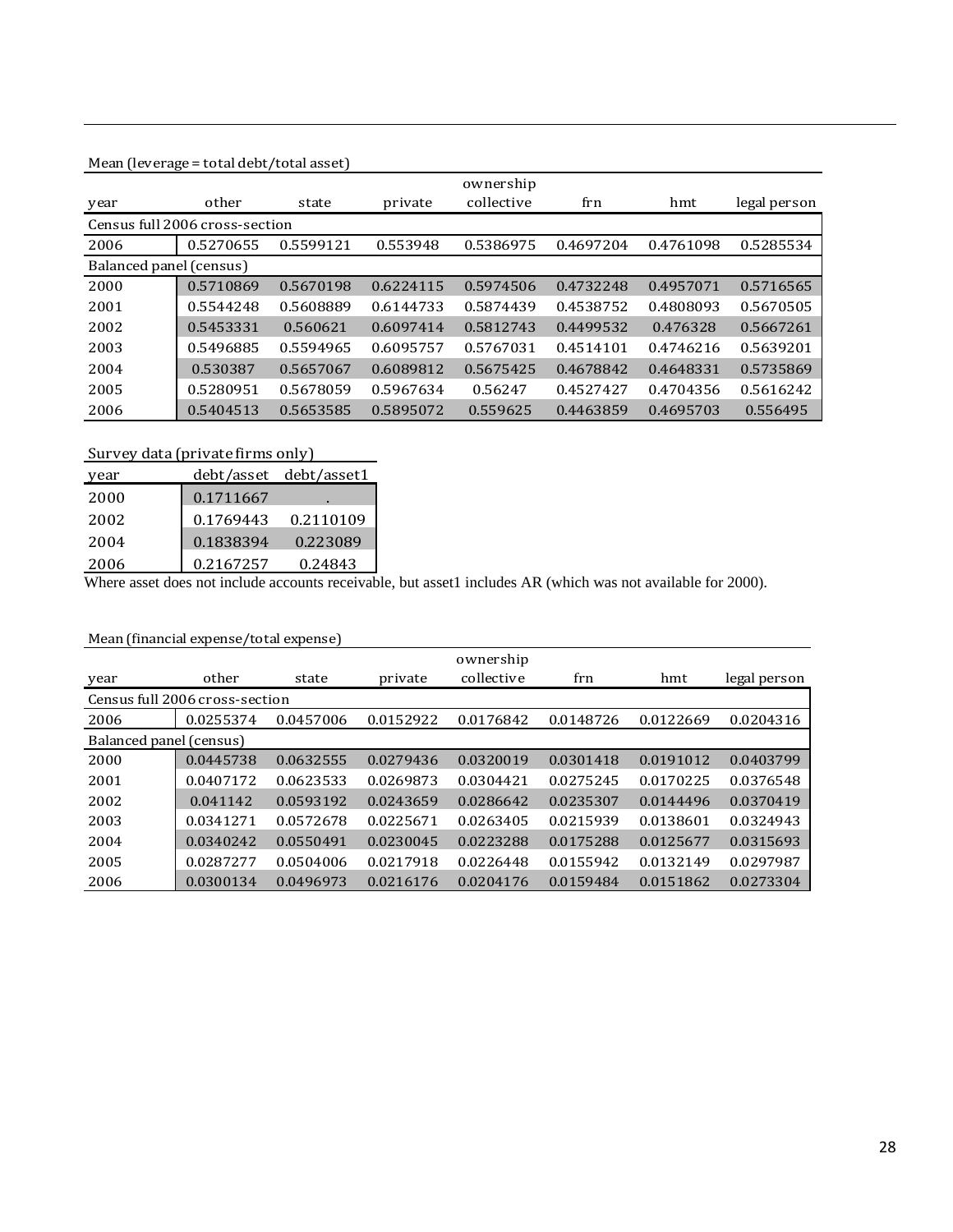#### Mean (leverage = total debt/total asset)

|                         |                                |           |           | ownership  |           |           |              |
|-------------------------|--------------------------------|-----------|-----------|------------|-----------|-----------|--------------|
| year                    | other                          | state     | private   | collective | frn       | hmt       | legal person |
|                         | Census full 2006 cross-section |           |           |            |           |           |              |
| 2006                    | 0.5270655                      | 0.5599121 | 0.553948  | 0.5386975  | 0.4697204 | 0.4761098 | 0.5285534    |
| Balanced panel (census) |                                |           |           |            |           |           |              |
| 2000                    | 0.5710869                      | 0.5670198 | 0.6224115 | 0.5974506  | 0.4732248 | 0.4957071 | 0.5716565    |
| 2001                    | 0.5544248                      | 0.5608889 | 0.6144733 | 0.5874439  | 0.4538752 | 0.4808093 | 0.5670505    |
| 2002                    | 0.5453331                      | 0.560621  | 0.6097414 | 0.5812743  | 0.4499532 | 0.476328  | 0.5667261    |
| 2003                    | 0.5496885                      | 0.5594965 | 0.6095757 | 0.5767031  | 0.4514101 | 0.4746216 | 0.5639201    |
| 2004                    | 0.530387                       | 0.5657067 | 0.6089812 | 0.5675425  | 0.4678842 | 0.4648331 | 0.5735869    |
| 2005                    | 0.5280951                      | 0.5678059 | 0.5967634 | 0.56247    | 0.4527427 | 0.4704356 | 0.5616242    |
| 2006                    | 0.5404513                      | 0.5653585 | 0.5895072 | 0.559625   | 0.4463859 | 0.4695703 | 0.556495     |

<u> 1989 - Andrea Santa Andrea Santa Andrea Santa Andrea Santa Andrea Santa Andrea Santa Andrea Santa Andrea San</u>

### Survey data (private firms only)

| year |           | debt/asset debt/asset1 |
|------|-----------|------------------------|
| 2000 | 0.1711667 |                        |
| 2002 | 0.1769443 | 0.2110109              |
| 2004 | 0.1838394 | 0.223089               |
| 2006 | 0.2167257 | 0.24843                |

Where asset does not include accounts receivable, but asset1 includes AR (which was not available for 2000).

#### Mean (financial expense/total expense)

|                         |                                |           |           | ownership  |           |           |              |
|-------------------------|--------------------------------|-----------|-----------|------------|-----------|-----------|--------------|
| year                    | other                          | state     | private   | collective | frn       | hmt       | legal person |
|                         | Census full 2006 cross-section |           |           |            |           |           |              |
| 2006                    | 0.0255374                      | 0.0457006 | 0.0152922 | 0.0176842  | 0.0148726 | 0.0122669 | 0.0204316    |
| Balanced panel (census) |                                |           |           |            |           |           |              |
| 2000                    | 0.0445738                      | 0.0632555 | 0.0279436 | 0.0320019  | 0.0301418 | 0.0191012 | 0.0403799    |
| 2001                    | 0.0407172                      | 0.0623533 | 0.0269873 | 0.0304421  | 0.0275245 | 0.0170225 | 0.0376548    |
| 2002                    | 0.041142                       | 0.0593192 | 0.0243659 | 0.0286642  | 0.0235307 | 0.0144496 | 0.0370419    |
| 2003                    | 0.0341271                      | 0.0572678 | 0.0225671 | 0.0263405  | 0.0215939 | 0.0138601 | 0.0324943    |
| 2004                    | 0.0340242                      | 0.0550491 | 0.0230045 | 0.0223288  | 0.0175288 | 0.0125677 | 0.0315693    |
| 2005                    | 0.0287277                      | 0.0504006 | 0.0217918 | 0.0226448  | 0.0155942 | 0.0132149 | 0.0297987    |
| 2006                    | 0.0300134                      | 0.0496973 | 0.0216176 | 0.0204176  | 0.0159484 | 0.0151862 | 0.0273304    |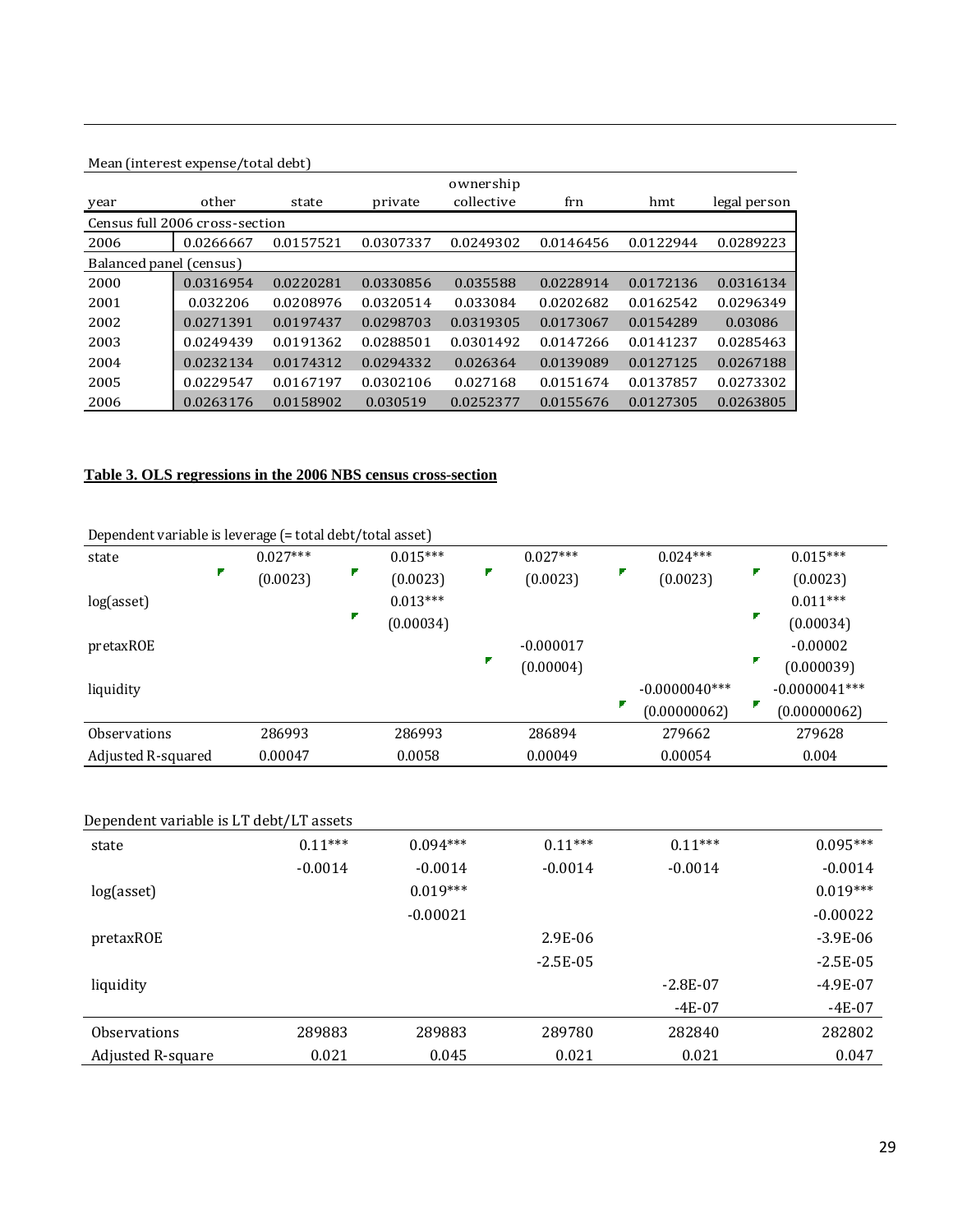### Mean (interest expense/total debt) year other state private collective frn hmt legal person Census full 2006 cross‐section 2006 0.0266667 0.0157521 0.0307337 0.0249302 0.0146456 0.0122944 0.0289223 Balanced panel (census) 2000 0.0316954 0.0220281 0.0330856 0.035588 0.0228914 0.0172136 0.0316134 2001 0.032206 0.0208976 0.0320514 0.033084 0.0202682 0.0162542 0.0296349 2002 0.0271391 0.0197437 0.0298703 0.0319305 0.0173067 0.0154289 0.03086 2003 0.0249439 0.0191362 0.0288501 0.0301492 0.0147266 0.0141237 0.0285463 2004 0.0232134 0.0174312 0.0294332 0.026364 0.0139089 0.0127125 0.0267188 2005 0.0229547 0.0167197 0.0302106 0.027168 0.0151674 0.0137857 0.0273302 2006 0.0263176 0.0158902 0.030519 0.0252377 0.0155676 0.0127305 0.0263805 ownership

<u> 1989 - Andrea Santa Andrea Santa Andrea Santa Andrea Santa Andrea Santa Andrea Santa Andrea Santa Andrea San</u>

#### **Table 3. OLS regressions in the 2006 NBS census cross-section**

| bependent van historie teven age ("coun deserptour asset)<br>state | $0.027***$ | $0.015***$ | $0.027***$  | $0.024***$      | $0.015***$      |
|--------------------------------------------------------------------|------------|------------|-------------|-----------------|-----------------|
| Г                                                                  | (0.0023)   | (0.0023)   | (0.0023)    | (0.0023)        | (0.0023)        |
| log(asset)                                                         |            | $0.013***$ |             |                 | $0.011***$      |
|                                                                    |            | (0.00034)  |             |                 | (0.00034)       |
| pretaxROE                                                          |            |            | $-0.000017$ |                 | $-0.00002$      |
|                                                                    |            |            | (0.00004)   |                 | (0.000039)      |
| liquidity                                                          |            |            |             | $-0.0000040***$ | $-0.0000041***$ |
|                                                                    |            |            |             | (0.00000062)    | (0.00000062)    |
| <b>Observations</b>                                                | 286993     | 286993     | 286894      | 279662          | 279628          |
| Adjusted R-squared                                                 | 0.00047    | 0.0058     | 0.00049     | 0.00054         | 0.004           |

Dependent variable is leverage (= total debt/total asset)

| Dependent variable is LT debt/LT assets |           |            |             |            |             |
|-----------------------------------------|-----------|------------|-------------|------------|-------------|
| state                                   | $0.11***$ | $0.094***$ | $0.11***$   | $0.11***$  | $0.095***$  |
|                                         | $-0.0014$ | $-0.0014$  | $-0.0014$   | $-0.0014$  | $-0.0014$   |
| log(asset)                              |           | $0.019***$ |             |            | $0.019***$  |
|                                         |           | $-0.00021$ |             |            | $-0.00022$  |
| pretaxROE                               |           |            | 2.9E-06     |            | $-3.9E-06$  |
|                                         |           |            | $-2.5E-0.5$ |            | $-2.5E-0.5$ |
| liquidity                               |           |            |             | $-2.8E-07$ | $-4.9E-07$  |
|                                         |           |            |             | $-4E-07$   | $-4E-07$    |
| <b>Observations</b>                     | 289883    | 289883     | 289780      | 282840     | 282802      |
| Adjusted R-square                       | 0.021     | 0.045      | 0.021       | 0.021      | 0.047       |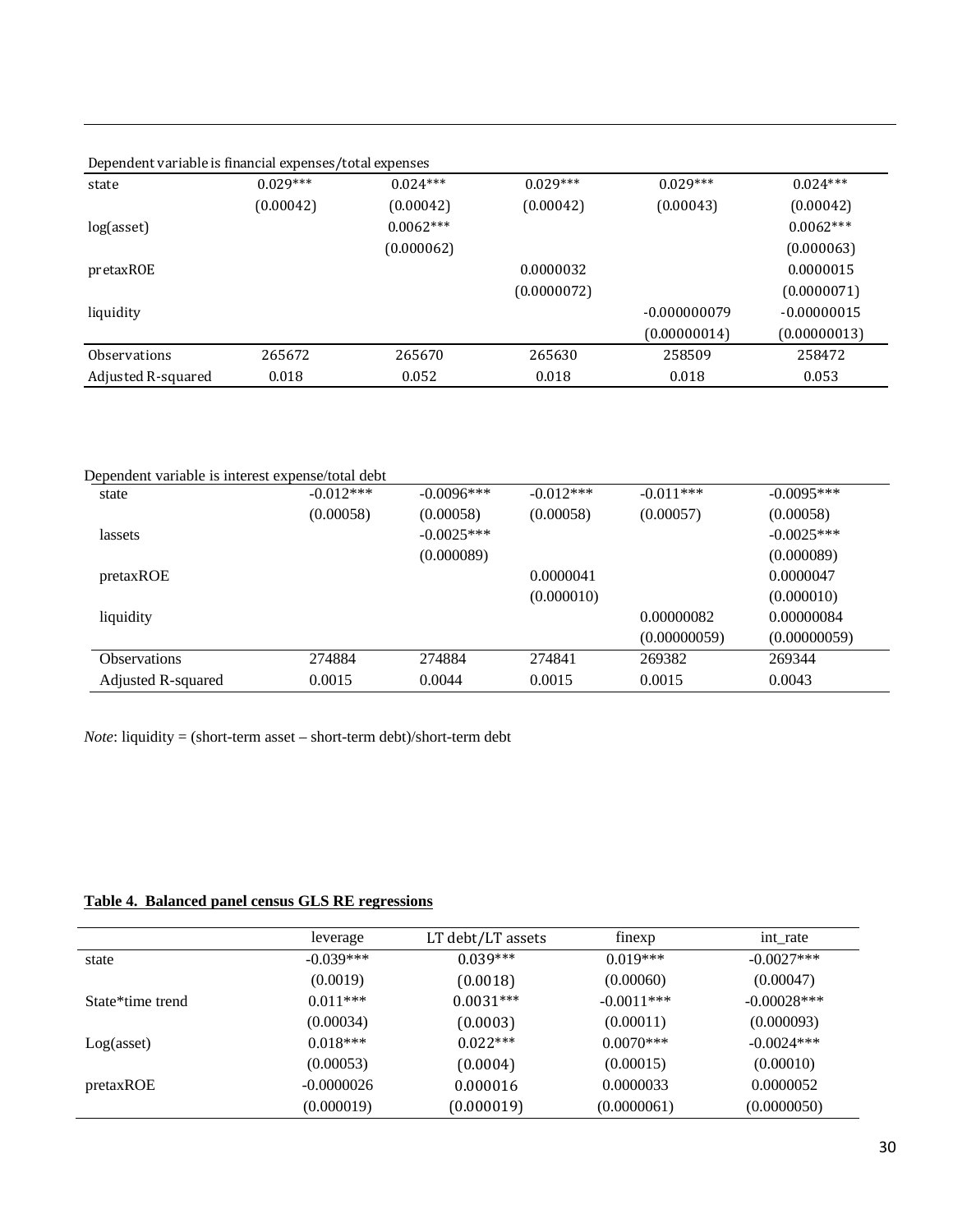| Dependent variable is financial expenses/total expenses |            |             |             |                |               |  |  |
|---------------------------------------------------------|------------|-------------|-------------|----------------|---------------|--|--|
| state                                                   | $0.029***$ | $0.024***$  | $0.029***$  | $0.029***$     | $0.024***$    |  |  |
|                                                         | (0.00042)  | (0.00042)   | (0.00042)   | (0.00043)      | (0.00042)     |  |  |
| log(asset)                                              |            | $0.0062***$ |             |                | $0.0062***$   |  |  |
|                                                         |            | (0.000062)  |             |                | (0.000063)    |  |  |
| pretaxROE                                               |            |             | 0.0000032   |                | 0.0000015     |  |  |
|                                                         |            |             | (0.0000072) |                | (0.0000071)   |  |  |
| liquidity                                               |            |             |             | $-0.000000079$ | $-0.00000015$ |  |  |
|                                                         |            |             |             | (0.00000014)   | (0.00000013)  |  |  |
| <b>Observations</b>                                     | 265672     | 265670      | 265630      | 258509         | 258472        |  |  |
| Adjusted R-squared                                      | 0.018      | 0.052       | 0.018       | 0.018          | 0.053         |  |  |

| Dependent variable is interest expense/total debt |              |             |              |              |
|---------------------------------------------------|--------------|-------------|--------------|--------------|
| $-0.012***$                                       | $-0.0096***$ | $-0.012***$ | $-0.011***$  | $-0.0095***$ |
| (0.00058)                                         | (0.00058)    | (0.00058)   | (0.00057)    | (0.00058)    |
|                                                   | $-0.0025***$ |             |              | $-0.0025***$ |
|                                                   | (0.000089)   |             |              | (0.000089)   |
|                                                   |              | 0.0000041   |              | 0.0000047    |
|                                                   |              | (0.000010)  |              | (0.000010)   |
|                                                   |              |             | 0.00000082   | 0.00000084   |
|                                                   |              |             | (0.00000059) | (0.00000059) |
| 274884                                            | 274884       | 274841      | 269382       | 269344       |
| 0.0015                                            | 0.0044       | 0.0015      | 0.0015       | 0.0043       |
|                                                   |              |             |              |              |

*Note*: liquidity = (short-term asset – short-term debt)/short-term debt

# **Table 4. Balanced panel census GLS RE regressions**

|                  | leverage     | LT debt/LT assets | finexp       | int rate      |
|------------------|--------------|-------------------|--------------|---------------|
| state            | $-0.039***$  | $0.039***$        | $0.019***$   | $-0.0027$ *** |
|                  | (0.0019)     | (0.0018)          | (0.00060)    | (0.00047)     |
| State*time trend | $0.011***$   | $0.0031***$       | $-0.0011***$ | $-0.00028***$ |
|                  | (0.00034)    | (0.0003)          | (0.00011)    | (0.000093)    |
| Log(asset)       | $0.018***$   | $0.022***$        | $0.0070***$  | $-0.0024***$  |
|                  | (0.00053)    | (0.0004)          | (0.00015)    | (0.00010)     |
| pretaxROE        | $-0.0000026$ | 0.000016          | 0.0000033    | 0.0000052     |
|                  | (0.000019)   | (0.000019)        | (0.0000061)  | (0.0000050)   |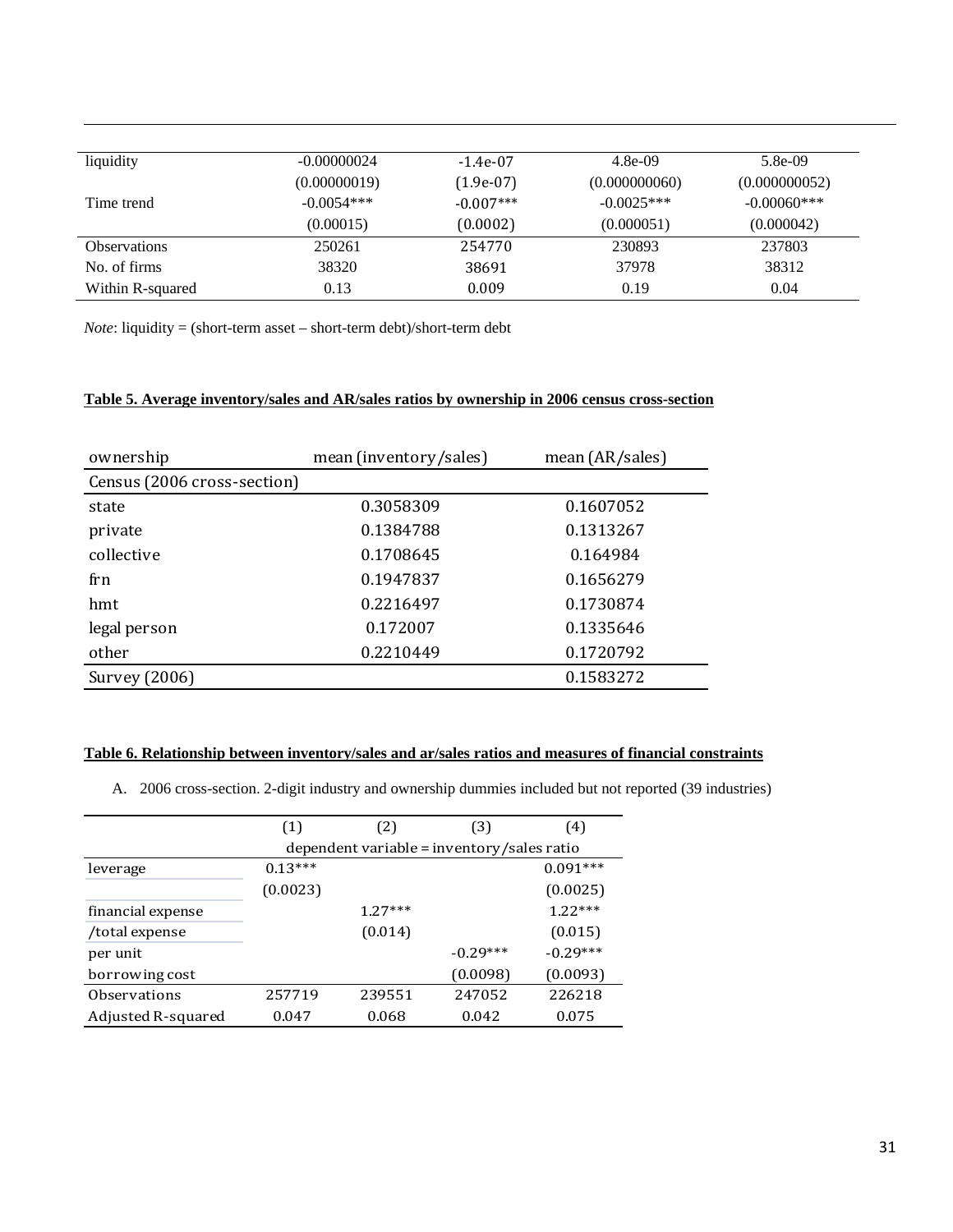| liquidity           | $-0.00000024$ | $-1.4e-07$  | $4.8e-09$     | $5.8e-09$     |
|---------------------|---------------|-------------|---------------|---------------|
|                     | (0.00000019)  | $(1.9e-07)$ | (0.000000060) | (0.000000052) |
| Time trend          | $-0.0054***$  | $-0.007***$ | $-0.0025***$  | $-0.00060***$ |
|                     | (0.00015)     | (0.0002)    | (0.000051)    | (0.000042)    |
| <b>Observations</b> | 250261        | 254770      | 230893        | 237803        |
| No. of firms        | 38320         | 38691       | 37978         | 38312         |
| Within R-squared    | 0.13          | 0.009       | 0.19          | 0.04          |

*Note*: liquidity = (short-term asset – short-term debt)/short-term debt

#### **Table 5. Average inventory/sales and AR/sales ratios by ownership in 2006 census cross-section**

| ownership                   | mean (inventory/sales) | mean $(AR/sales)$ |
|-----------------------------|------------------------|-------------------|
| Census (2006 cross-section) |                        |                   |
| state                       | 0.3058309              | 0.1607052         |
| private                     | 0.1384788              | 0.1313267         |
| collective                  | 0.1708645              | 0.164984          |
| frn                         | 0.1947837              | 0.1656279         |
| hmt                         | 0.2216497              | 0.1730874         |
| legal person                | 0.172007               | 0.1335646         |
| other                       | 0.2210449              | 0.1720792         |
| Survey (2006)               |                        | 0.1583272         |

#### **Table 6. Relationship between inventory/sales and ar/sales ratios and measures of financial constraints**

A. 2006 cross-section. 2-digit industry and ownership dummies included but not reported (39 industries)

|                    | (1)       | (2)       | (3)                                        | (4)        |
|--------------------|-----------|-----------|--------------------------------------------|------------|
|                    |           |           | dependent variable = inventory/sales ratio |            |
| leverage           | $0.13***$ |           |                                            | $0.091***$ |
|                    | (0.0023)  |           |                                            | (0.0025)   |
| financial expense  |           | $1.27***$ |                                            | $1.22***$  |
| /total expense     |           | (0.014)   |                                            | (0.015)    |
| per unit           |           |           | $-0.29***$                                 | $-0.29***$ |
| borrowing cost     |           |           | (0.0098)                                   | (0.0093)   |
| Observations       | 257719    | 239551    | 247052                                     | 226218     |
| Adjusted R-squared | 0.047     | 0.068     | 0.042                                      | 0.075      |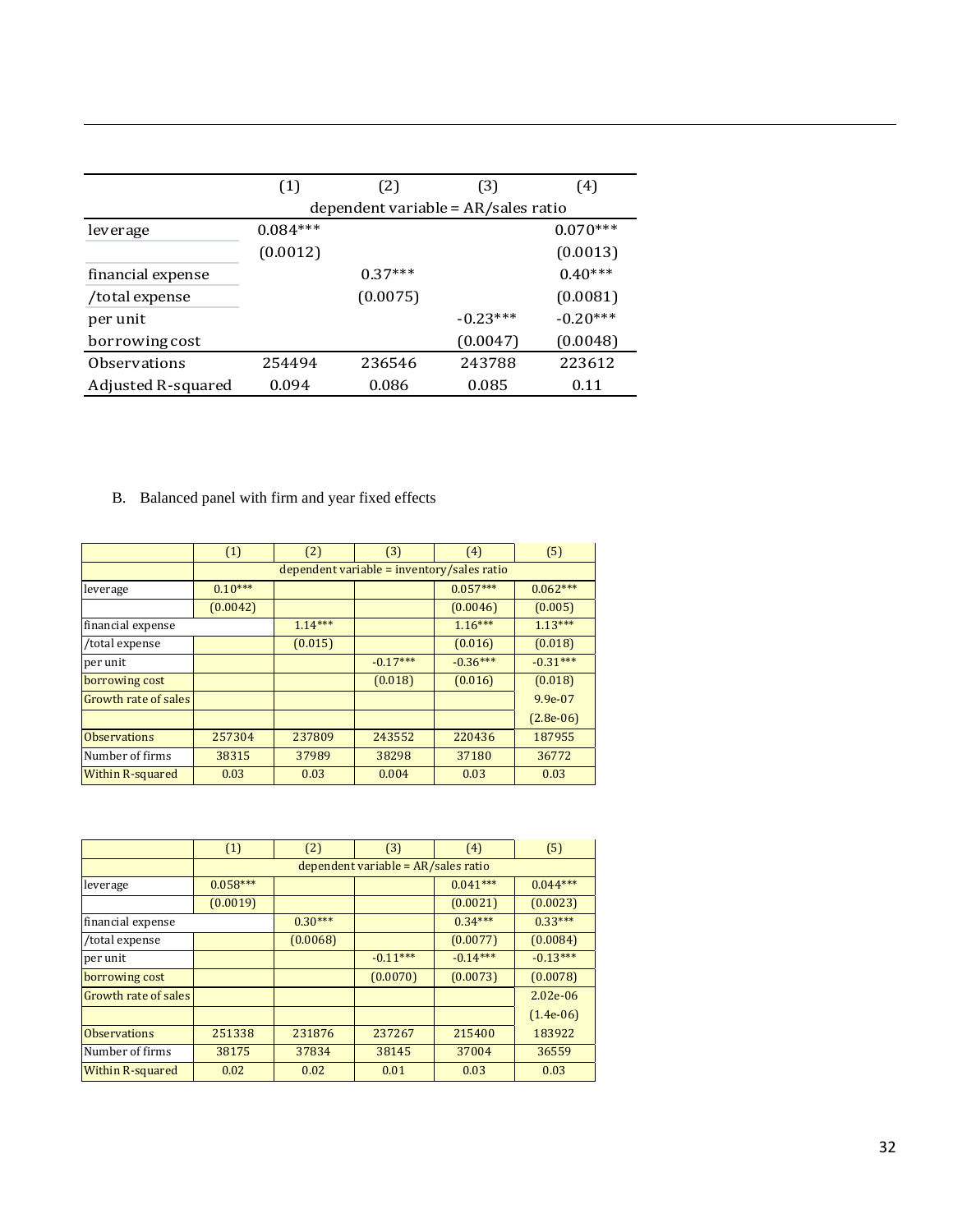|                    | (1)        | (2)       | (3)                                 | (4)        |
|--------------------|------------|-----------|-------------------------------------|------------|
|                    |            |           | dependent variable = AR/sales ratio |            |
| leverage           | $0.084***$ |           |                                     | $0.070***$ |
|                    | (0.0012)   |           |                                     | (0.0013)   |
| financial expense  |            | $0.37***$ |                                     | $0.40***$  |
| /total expense     |            | (0.0075)  |                                     | (0.0081)   |
| per unit           |            |           | $-0.23***$                          | $-0.20***$ |
| borrowing cost     |            |           | (0.0047)                            | (0.0048)   |
| Observations       | 254494     | 236546    | 243788                              | 223612     |
| Adjusted R-squared | 0.094      | 0.086     | 0.085                               | 0.11       |

## B. Balanced panel with firm and year fixed effects

|                         | (1)       | (2)                      | (3)                                          | (4)        | (5)         |  |  |  |
|-------------------------|-----------|--------------------------|----------------------------------------------|------------|-------------|--|--|--|
|                         |           |                          | $dependent variable = inventory/sales ratio$ |            |             |  |  |  |
| leverage                | $0.10***$ | $0.057***$<br>$0.062***$ |                                              |            |             |  |  |  |
|                         | (0.0042)  |                          |                                              | (0.0046)   | (0.005)     |  |  |  |
| financial expense       |           | $1.14***$                |                                              | $1.16***$  | $1.13***$   |  |  |  |
| /total expense          |           | (0.015)                  |                                              | (0.016)    | (0.018)     |  |  |  |
| per unit                |           |                          | $-0.17***$                                   | $-0.36***$ | $-0.31***$  |  |  |  |
| borrowing cost          |           |                          | (0.018)                                      | (0.016)    | (0.018)     |  |  |  |
| Growth rate of sales    |           |                          |                                              |            | $9.9e-07$   |  |  |  |
|                         |           |                          |                                              |            | $(2.8e-06)$ |  |  |  |
| <b>Observations</b>     | 257304    | 237809                   | 243552                                       | 220436     | 187955      |  |  |  |
| Number of firms         | 38315     | 37989                    | 38298                                        | 37180      | 36772       |  |  |  |
| <b>Within R-squared</b> | 0.03      | 0.03                     | 0.004                                        | 0.03       | 0.03        |  |  |  |

|                         | (1)        | (2)       | (3)                                   | (4)        | (5)         |
|-------------------------|------------|-----------|---------------------------------------|------------|-------------|
|                         |            |           | dependent variable = $AR/sales ratio$ |            |             |
| leverage                | $0.058***$ |           |                                       | $0.041***$ | $0.044***$  |
|                         | (0.0019)   |           |                                       | (0.0021)   | (0.0023)    |
| financial expense       |            | $0.30***$ |                                       | $0.34***$  | $0.33***$   |
| /total expense          |            | (0.0068)  |                                       | (0.0077)   | (0.0084)    |
| per unit                |            |           | $-0.11***$                            | $-0.14***$ | $-0.13***$  |
| borrowing cost          |            |           | (0.0070)                              | (0.0073)   | (0.0078)    |
| Growth rate of sales    |            |           |                                       |            | $2.02e-06$  |
|                         |            |           |                                       |            | $(1.4e-06)$ |
| <b>Observations</b>     | 251338     | 231876    | 237267                                | 215400     | 183922      |
| Number of firms         | 38175      | 37834     | 38145                                 | 37004      | 36559       |
| <b>Within R-squared</b> | 0.02       | 0.02      | 0.01                                  | 0.03       | 0.03        |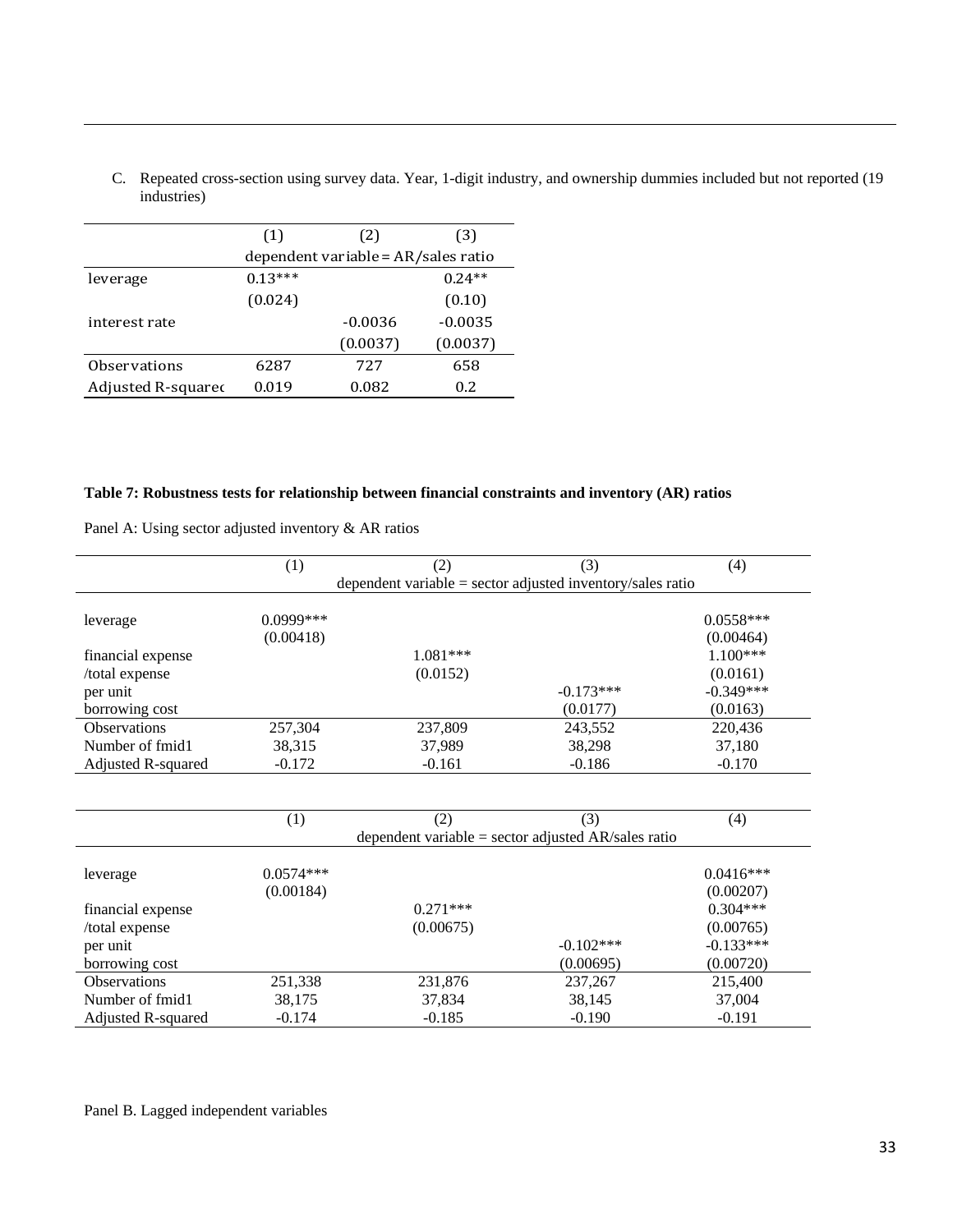C. Repeated cross-section using survey data. Year, 1-digit industry, and ownership dummies included but not reported (19 industries)

<u> 1989 - Andrea Santa Andrea Santa Andrea Santa Andrea Santa Andrea Santa Andrea Santa Andrea Santa Andrea San</u>

|                     | (1)                                 | (2)       | (3)       |  |  |  |
|---------------------|-------------------------------------|-----------|-----------|--|--|--|
|                     | dependent variable = AR/sales ratio |           |           |  |  |  |
| leverage            | $0.13***$                           |           | $0.24**$  |  |  |  |
|                     | (0.024)                             |           | (0.10)    |  |  |  |
| interest rate       |                                     | $-0.0036$ | $-0.0035$ |  |  |  |
|                     |                                     | (0.0037)  | (0.0037)  |  |  |  |
| <b>Observations</b> | 6287                                | 727       | 658       |  |  |  |
| Adjusted R-squared  | 0.019                               | 0.082     | 0.2       |  |  |  |
|                     |                                     |           |           |  |  |  |

#### **Table 7: Robustness tests for relationship between financial constraints and inventory (AR) ratios**

Panel A: Using sector adjusted inventory & AR ratios

|                     | (1)         | (2)                                                        | (3)                                                   | (4)         |  |  |  |  |
|---------------------|-------------|------------------------------------------------------------|-------------------------------------------------------|-------------|--|--|--|--|
|                     |             | dependent variable = sector adjusted inventory/sales ratio |                                                       |             |  |  |  |  |
|                     |             |                                                            |                                                       |             |  |  |  |  |
| leverage            | 0.0999***   |                                                            |                                                       | $0.0558***$ |  |  |  |  |
|                     | (0.00418)   |                                                            |                                                       | (0.00464)   |  |  |  |  |
| financial expense   |             | 1.081***                                                   |                                                       | $1.100***$  |  |  |  |  |
| /total expense      |             | (0.0152)                                                   |                                                       | (0.0161)    |  |  |  |  |
| per unit            |             |                                                            | $-0.173***$                                           | $-0.349***$ |  |  |  |  |
| borrowing cost      |             |                                                            | (0.0177)                                              | (0.0163)    |  |  |  |  |
| <b>Observations</b> | 257,304     | 237,809                                                    | 243,552                                               | 220,436     |  |  |  |  |
| Number of fmid1     | 38,315      | 37,989                                                     | 38,298                                                | 37,180      |  |  |  |  |
| Adjusted R-squared  | $-0.172$    | $-0.161$                                                   | $-0.186$                                              | $-0.170$    |  |  |  |  |
|                     |             |                                                            |                                                       |             |  |  |  |  |
|                     |             |                                                            |                                                       |             |  |  |  |  |
|                     | (1)         | (2)                                                        | (3)                                                   | (4)         |  |  |  |  |
|                     |             |                                                            | dependent variable = sector adjusted $AR/sales$ ratio |             |  |  |  |  |
|                     |             |                                                            |                                                       |             |  |  |  |  |
| leverage            | $0.0574***$ |                                                            |                                                       | $0.0416***$ |  |  |  |  |
|                     | (0.00184)   |                                                            |                                                       | (0.00207)   |  |  |  |  |
| financial expense   |             | $0.271***$                                                 |                                                       | $0.304***$  |  |  |  |  |
| /total expense      |             | (0.00675)                                                  |                                                       | (0.00765)   |  |  |  |  |
| per unit            |             |                                                            | $-0.102***$                                           | $-0.133***$ |  |  |  |  |
| borrowing cost      |             |                                                            | (0.00695)                                             | (0.00720)   |  |  |  |  |
| <b>Observations</b> | 251,338     | 231,876                                                    | 237,267                                               | 215,400     |  |  |  |  |
| Number of fmid1     | 38,175      | 37,834                                                     | 38,145                                                | 37,004      |  |  |  |  |

Adjusted R-squared -0.174 -0.185 -0.190 -0.191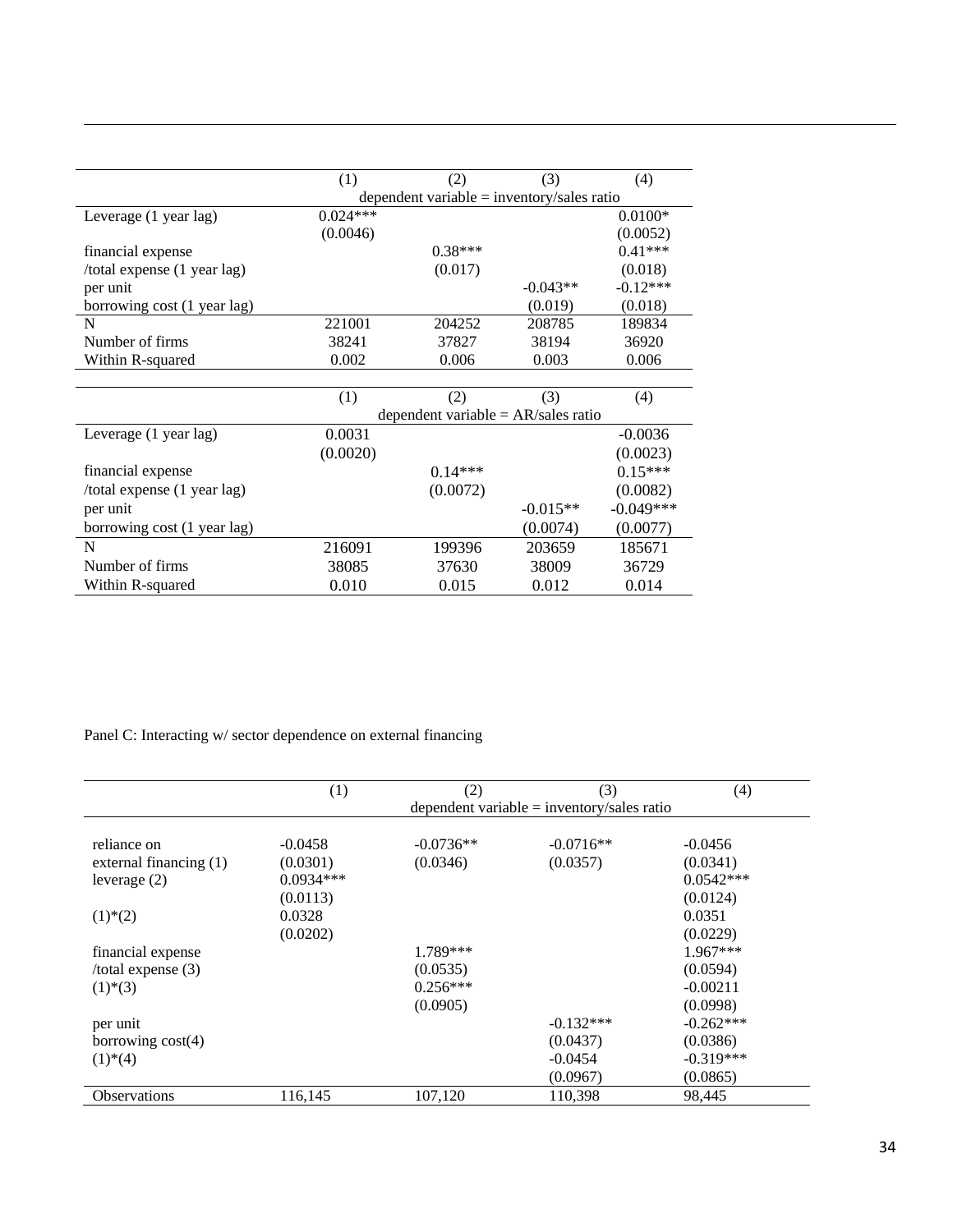|                             | (1)                                        | (2)                                   | (3)        | (4)         |  |  |
|-----------------------------|--------------------------------------------|---------------------------------------|------------|-------------|--|--|
|                             | dependent variable = inventory/sales ratio |                                       |            |             |  |  |
|                             |                                            |                                       |            |             |  |  |
| Leverage (1 year lag)       | $0.024***$                                 |                                       |            | $0.0100*$   |  |  |
|                             | (0.0046)                                   |                                       |            | (0.0052)    |  |  |
| financial expense           |                                            | $0.38***$                             |            | $0.41***$   |  |  |
| /total expense (1 year lag) |                                            | (0.017)                               |            | (0.018)     |  |  |
| per unit                    |                                            |                                       | $-0.043**$ | $-0.12***$  |  |  |
| borrowing cost (1 year lag) |                                            |                                       | (0.019)    | (0.018)     |  |  |
| N                           | 221001                                     | 204252                                | 208785     | 189834      |  |  |
| Number of firms             | 38241                                      | 37827                                 | 38194      | 36920       |  |  |
| Within R-squared            | 0.002                                      | 0.006                                 | 0.003      | 0.006       |  |  |
|                             |                                            |                                       |            |             |  |  |
|                             | (1)                                        | (2)                                   | (3)        | (4)         |  |  |
|                             |                                            | dependent variable = $AR/sales ratio$ |            |             |  |  |
| Leverage (1 year lag)       | 0.0031                                     |                                       |            | $-0.0036$   |  |  |
|                             | (0.0020)                                   |                                       |            | (0.0023)    |  |  |
| financial expense           |                                            | $0.14***$                             |            | $0.15***$   |  |  |
| /total expense (1 year lag) |                                            | (0.0072)                              |            | (0.0082)    |  |  |
| per unit                    |                                            |                                       | $-0.015**$ | $-0.049***$ |  |  |
| borrowing cost (1 year lag) |                                            |                                       | (0.0074)   | (0.0077)    |  |  |
| N                           | 216091                                     | 199396                                | 203659     | 185671      |  |  |
| Number of firms             | 38085                                      | 37630                                 | 38009      | 36729       |  |  |
| Within R-squared            | 0.010                                      | 0.015                                 | 0.012      | 0.014       |  |  |

Panel C: Interacting w/ sector dependence on external financing

|                          | (1)         | (2)         | (3)                                          | (4)         |
|--------------------------|-------------|-------------|----------------------------------------------|-------------|
|                          |             |             | dependent variable $=$ inventory/sales ratio |             |
| reliance on              | $-0.0458$   | $-0.0736**$ | $-0.0716**$                                  | $-0.0456$   |
| external financing (1)   | (0.0301)    | (0.0346)    | (0.0357)                                     | (0.0341)    |
|                          | $0.0934***$ |             |                                              | $0.0542***$ |
| leverage $(2)$           |             |             |                                              |             |
|                          | (0.0113)    |             |                                              | (0.0124)    |
| $(1)$ <sup>*</sup> $(2)$ | 0.0328      |             |                                              | 0.0351      |
|                          | (0.0202)    |             |                                              | (0.0229)    |
| financial expense        |             | 1.789***    |                                              | $1.967***$  |
| $/$ total expense $(3)$  |             | (0.0535)    |                                              | (0.0594)    |
| $(1)$ <sup>*</sup> $(3)$ |             | $0.256***$  |                                              | $-0.00211$  |
|                          |             | (0.0905)    |                                              | (0.0998)    |
| per unit                 |             |             | $-0.132***$                                  | $-0.262***$ |
| borrowing $cost(4)$      |             |             | (0.0437)                                     | (0.0386)    |
| $(1)$ <sup>*</sup> $(4)$ |             |             | $-0.0454$                                    | $-0.319***$ |
|                          |             |             | (0.0967)                                     | (0.0865)    |
| <b>Observations</b>      | 116,145     | 107,120     | 110,398                                      | 98,445      |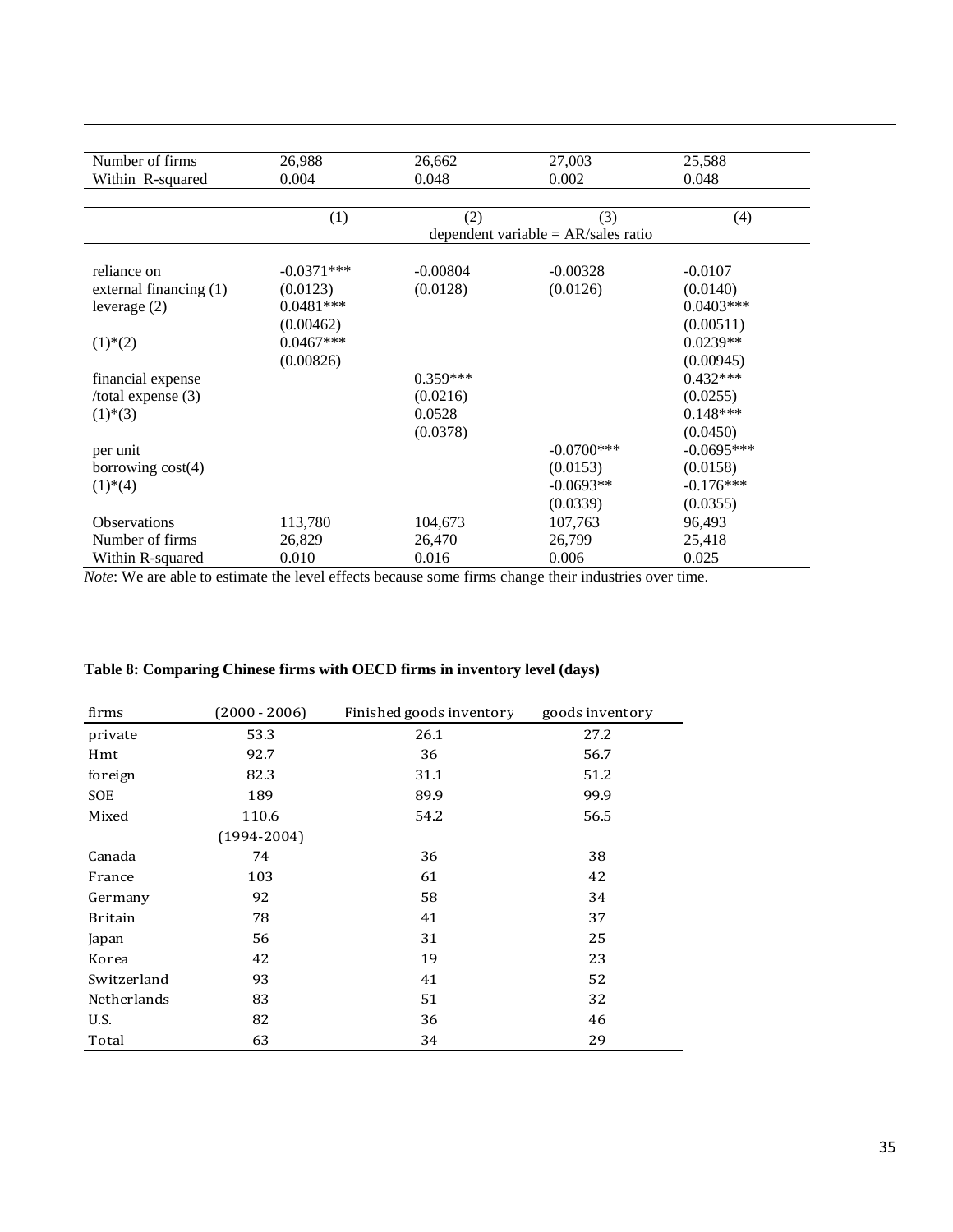| Number of firms          | 26,988       | 26,662     | 27,003                                | 25,588       |
|--------------------------|--------------|------------|---------------------------------------|--------------|
| Within R-squared         | 0.004        | 0.048      | 0.002                                 | 0.048        |
|                          |              |            |                                       |              |
|                          | (1)          | (2)        | (3)                                   | (4)          |
|                          |              |            | dependent variable = $AR/sales ratio$ |              |
|                          |              |            |                                       |              |
| reliance on              | $-0.0371***$ | $-0.00804$ | $-0.00328$                            | $-0.0107$    |
| external financing (1)   | (0.0123)     | (0.0128)   | (0.0126)                              | (0.0140)     |
| leverage $(2)$           | $0.0481***$  |            |                                       | $0.0403***$  |
|                          | (0.00462)    |            |                                       | (0.00511)    |
| $(1)$ <sup>*</sup> $(2)$ | $0.0467***$  |            |                                       | $0.0239**$   |
|                          | (0.00826)    |            |                                       | (0.00945)    |
| financial expense        |              | $0.359***$ |                                       | $0.432***$   |
| /total expense $(3)$     |              | (0.0216)   |                                       | (0.0255)     |
| $(1)$ <sup>*</sup> $(3)$ |              | 0.0528     |                                       | $0.148***$   |
|                          |              | (0.0378)   |                                       | (0.0450)     |
| per unit                 |              |            | $-0.0700***$                          | $-0.0695***$ |
| borrowing $cost(4)$      |              |            | (0.0153)                              | (0.0158)     |
| $(1)$ <sup>*</sup> $(4)$ |              |            | $-0.0693**$                           | $-0.176***$  |
|                          |              |            | (0.0339)                              | (0.0355)     |
| Observations             | 113,780      | 104,673    | 107,763                               | 96,493       |
| Number of firms          | 26,829       | 26,470     | 26,799                                | 25,418       |
| Within R-squared         | 0.010        | 0.016      | 0.006                                 | 0.025        |

*Note*: We are able to estimate the level effects because some firms change their industries over time.

|  | Table 8: Comparing Chinese firms with OECD firms in inventory level (days) |  |  |  |
|--|----------------------------------------------------------------------------|--|--|--|
|  |                                                                            |  |  |  |

| firms          | $(2000 - 2006)$ | Finished goods inventory | goods inventory |
|----------------|-----------------|--------------------------|-----------------|
| private        | 53.3            | 26.1                     | 27.2            |
| Hmt            | 92.7            | 36                       | 56.7            |
| foreign        | 82.3            | 31.1                     | 51.2            |
| <b>SOE</b>     | 189             | 89.9                     | 99.9            |
| Mixed          | 110.6           | 54.2                     | 56.5            |
|                | $(1994 - 2004)$ |                          |                 |
| Canada         | 74              | 36                       | 38              |
| France         | 103             | 61                       | 42              |
| Germany        | 92              | 58                       | 34              |
| <b>Britain</b> | 78              | 41                       | 37              |
| Japan          | 56              | 31                       | 25              |
| Korea          | 42              | 19                       | 23              |
| Switzerland    | 93              | 41                       | 52              |
| Netherlands    | 83              | 51                       | 32              |
| U.S.           | 82              | 36                       | 46              |
| Total          | 63              | 34                       | 29              |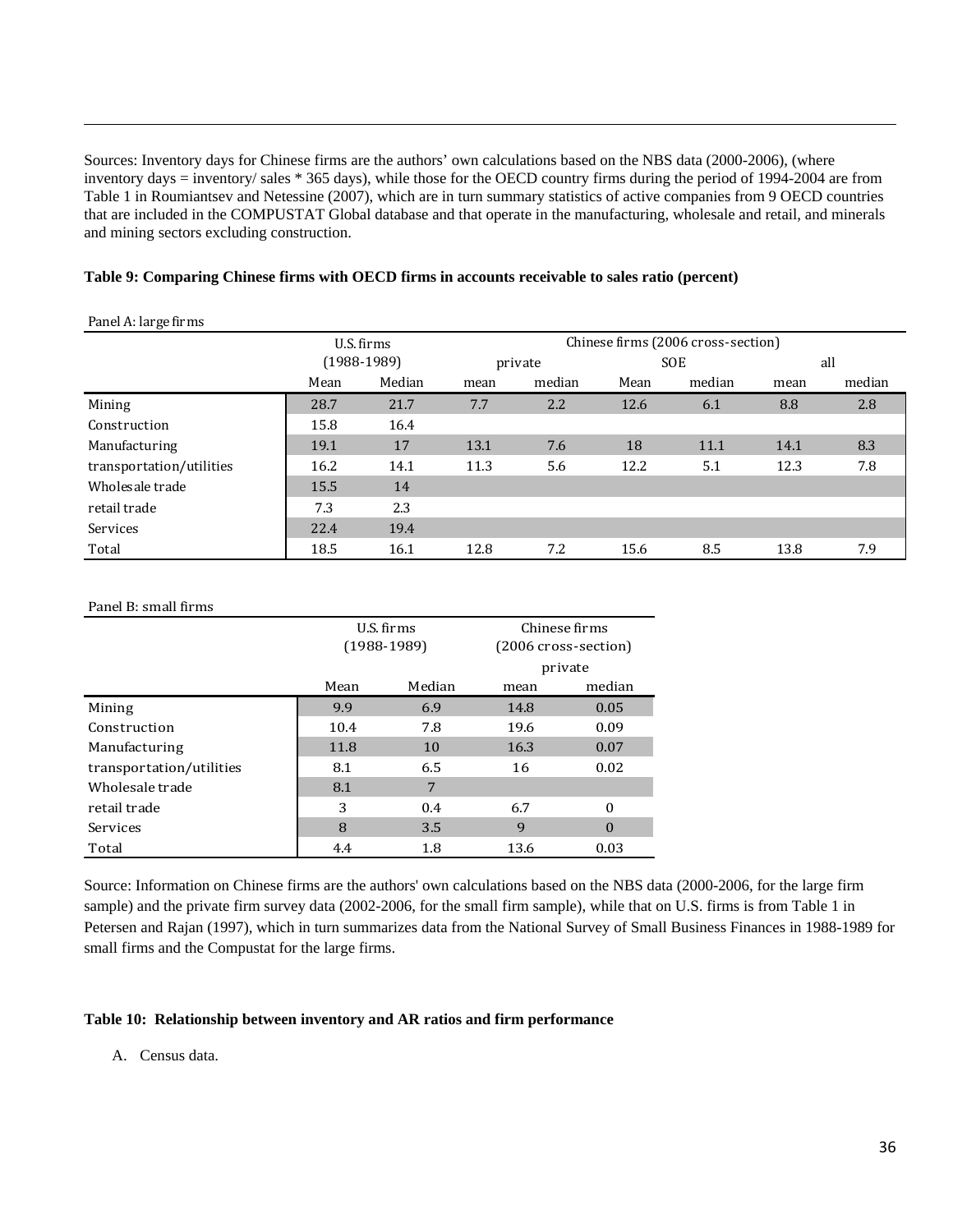Sources: Inventory days for Chinese firms are the authors' own calculations based on the NBS data (2000-2006), (where inventory days = inventory/ sales \* 365 days), while those for the OECD country firms during the period of 1994-2004 are from Table 1 in Roumiantsev and Netessine (2007), which are in turn summary statistics of active companies from 9 OECD countries that are included in the COMPUSTAT Global database and that operate in the manufacturing, wholesale and retail, and minerals and mining sectors excluding construction.

<u> 1989 - Andrea Santa Andrea Santa Andrea Santa Andrea Santa Andrea Santa Andrea Santa Andrea Santa Andrea San</u>

|  |  |  |  | Table 9: Comparing Chinese firms with OECD firms in accounts receivable to sales ratio (percent) |  |
|--|--|--|--|--------------------------------------------------------------------------------------------------|--|
|  |  |  |  |                                                                                                  |  |

| Panel A: large firms |
|----------------------|
|                      |

|                          | U.S. firms<br>$(1988-1989)$ |        | Chinese firms (2006 cross-section) |        |            |        |      |        |
|--------------------------|-----------------------------|--------|------------------------------------|--------|------------|--------|------|--------|
|                          |                             |        | private                            |        | <b>SOE</b> |        | all  |        |
|                          | Mean                        | Median | mean                               | median | Mean       | median | mean | median |
| Mining                   | 28.7                        | 21.7   | 7.7                                | 2.2    | 12.6       | 6.1    | 8.8  | 2.8    |
| Construction             | 15.8                        | 16.4   |                                    |        |            |        |      |        |
| Manufacturing            | 19.1                        | 17     | 13.1                               | 7.6    | 18         | 11.1   | 14.1 | 8.3    |
| transportation/utilities | 16.2                        | 14.1   | 11.3                               | 5.6    | 12.2       | 5.1    | 12.3 | 7.8    |
| Wholesale trade          | 15.5                        | 14     |                                    |        |            |        |      |        |
| retail trade             | 7.3                         | 2.3    |                                    |        |            |        |      |        |
| Services                 | 22.4                        | 19.4   |                                    |        |            |        |      |        |
| Total                    | 18.5                        | 16.1   | 12.8                               | 7.2    | 15.6       | 8.5    | 13.8 | 7.9    |

#### Panel B: small firms

|                          | U.S. firms<br>$(1988-1989)$ |        | Chinese firms<br>(2006 cross-section) |          |
|--------------------------|-----------------------------|--------|---------------------------------------|----------|
|                          |                             |        | private                               |          |
|                          | Mean                        | Median | mean                                  | median   |
| Mining                   | 9.9                         | 6.9    | 14.8                                  | 0.05     |
| Construction             | 10.4                        | 7.8    | 19.6                                  | 0.09     |
| Manufacturing            | 11.8                        | 10     | 16.3                                  | 0.07     |
| transportation/utilities | 8.1                         | 6.5    | 16                                    | 0.02     |
| Wholesale trade          | 8.1                         | 7      |                                       |          |
| retail trade             | 3                           | 0.4    | 6.7                                   | $\bf{0}$ |
| Services                 | 8                           | 3.5    | 9                                     | $\Omega$ |
| Total                    | 4.4                         | 1.8    | 13.6                                  | 0.03     |

Source: Information on Chinese firms are the authors' own calculations based on the NBS data (2000-2006, for the large firm sample) and the private firm survey data (2002-2006, for the small firm sample), while that on U.S. firms is from Table 1 in Petersen and Rajan (1997), which in turn summarizes data from the National Survey of Small Business Finances in 1988-1989 for small firms and the Compustat for the large firms.

#### **Table 10: Relationship between inventory and AR ratios and firm performance**

A. Census data.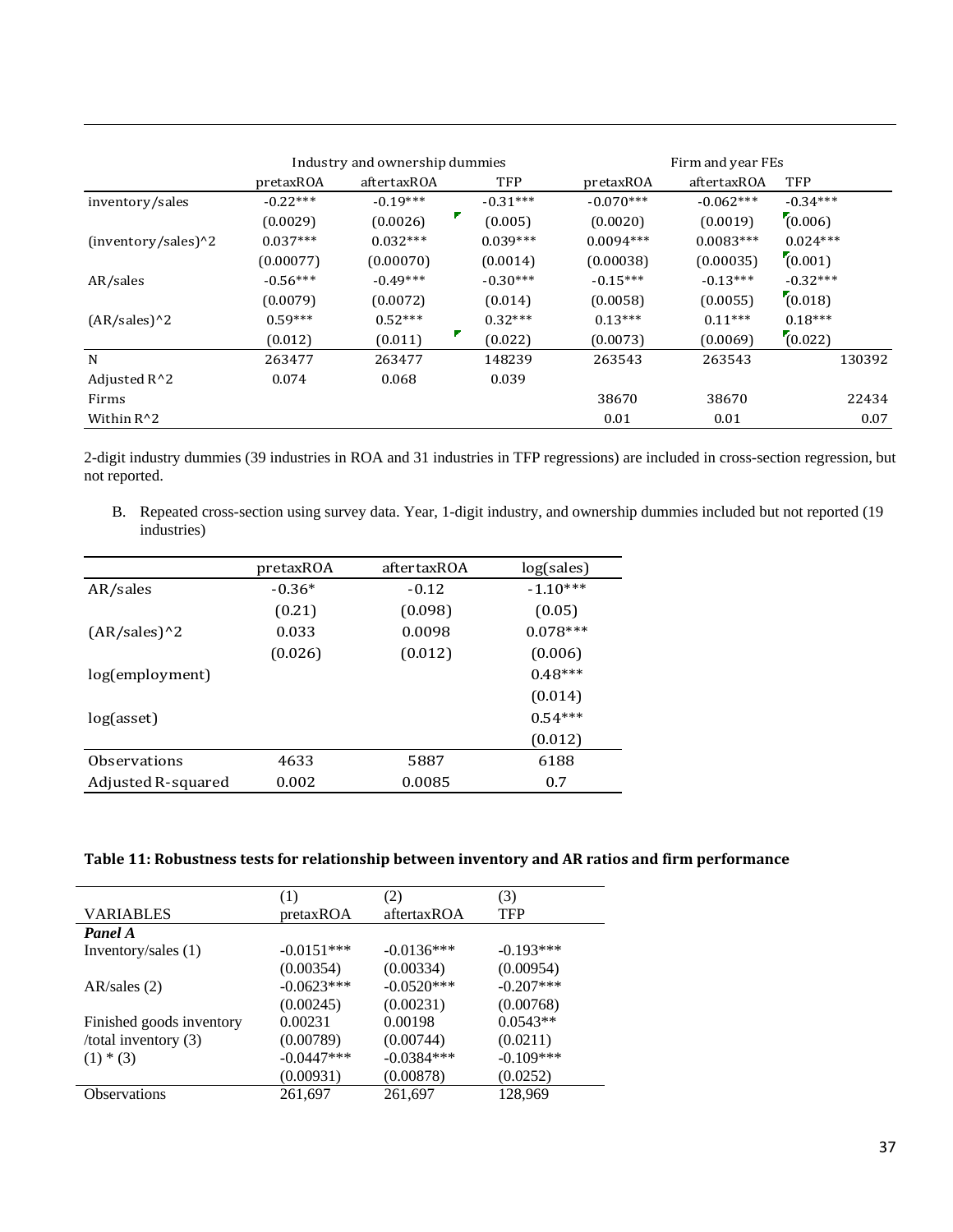|                       | Industry and ownership dummies |             |              | Firm and year FEs |             |            |
|-----------------------|--------------------------------|-------------|--------------|-------------------|-------------|------------|
|                       | pretaxROA                      | aftertaxROA | TFP          | pretaxROA         | aftertaxROA | TFP        |
| inventory/sales       | $-0.22***$                     | $-0.19***$  | $-0.31***$   | $-0.070***$       | $-0.062***$ | $-0.34***$ |
|                       | (0.0029)                       | (0.0026)    | ▼<br>(0.005) | (0.0020)          | (0.0019)    | (0.006)    |
| $(inventory/sales)^2$ | $0.037***$                     | $0.032***$  | $0.039***$   | $0.0094***$       | $0.0083***$ | $0.024***$ |
|                       | (0.00077)                      | (0.00070)   | (0.0014)     | (0.00038)         | (0.00035)   | (0.001)    |
| AR/sales              | $-0.56***$                     | $-0.49***$  | $-0.30***$   | $-0.15***$        | $-0.13***$  | $-0.32***$ |
|                       | (0.0079)                       | (0.0072)    | (0.014)      | (0.0058)          | (0.0055)    | (0.018)    |
| $(AR/sales)^2$        | $0.59***$                      | $0.52***$   | $0.32***$    | $0.13***$         | $0.11***$   | $0.18***$  |
|                       | (0.012)                        | (0.011)     | Τ<br>(0.022) | (0.0073)          | (0.0069)    | (0.022)    |
| N                     | 263477                         | 263477      | 148239       | 263543            | 263543      | 130392     |
| Adjusted R^2          | 0.074                          | 0.068       | 0.039        |                   |             |            |
| Firms                 |                                |             |              | 38670             | 38670       | 22434      |
| Within $R^2$          |                                |             |              | 0.01              | 0.01        | 0.07       |

2-digit industry dummies (39 industries in ROA and 31 industries in TFP regressions) are included in cross-section regression, but not reported.

B. Repeated cross-section using survey data. Year, 1-digit industry, and ownership dummies included but not reported (19 industries)

|                    | pretaxROA | aftertaxROA | log(sales) |
|--------------------|-----------|-------------|------------|
| AR/sales           | $-0.36*$  | $-0.12$     | $-1.10***$ |
|                    | (0.21)    | (0.098)     | (0.05)     |
| $(AR/sales)^2$     | 0.033     | 0.0098      | $0.078***$ |
|                    | (0.026)   | (0.012)     | (0.006)    |
| log(employment)    |           |             | $0.48***$  |
|                    |           |             | (0.014)    |
| log(asset)         |           |             | $0.54***$  |
|                    |           |             | (0.012)    |
| Observations       | 4633      | 5887        | 6188       |
| Adjusted R-squared | 0.002     | 0.0085      | 0.7        |

|                          | (1)          | (2)          | (3)          |
|--------------------------|--------------|--------------|--------------|
| VARIABLES                | pretaxROA    | aftertaxROA  | <b>TFP</b>   |
| Panel A                  |              |              |              |
| Inventory/sales (1)      | $-0.0151***$ | $-0.0136***$ | $-0.193***$  |
|                          | (0.00354)    | (0.00334)    | (0.00954)    |
| AR/sales (2)             | $-0.0623***$ | $-0.0520***$ | $-0.207$ *** |
|                          | (0.00245)    | (0.00231)    | (0.00768)    |
| Finished goods inventory | 0.00231      | 0.00198      | $0.0543**$   |
| /total inventory $(3)$   | (0.00789)    | (0.00744)    | (0.0211)     |
| $(1) * (3)$              | $-0.0447***$ | $-0.0384***$ | $-0.109***$  |
|                          | (0.00931)    | (0.00878)    | (0.0252)     |
| <b>Observations</b>      | 261,697      | 261,697      | 128.969      |